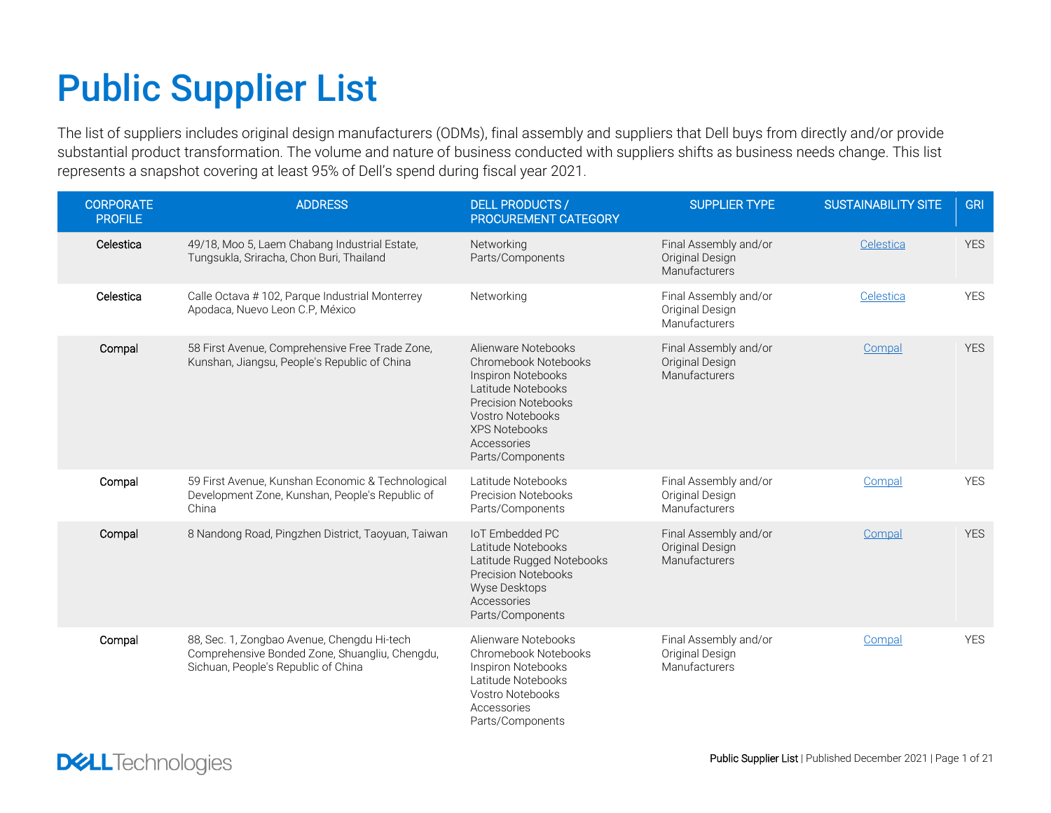## Public Supplier List

The list of suppliers includes original design manufacturers (ODMs), final assembly and suppliers that Dell buys from directly and/or provide substantial product transformation. The volume and nature of business conducted with suppliers shifts as business needs change. This list represents a snapshot covering at least 95% of Dell's spend during fiscal year 2021.

| <b>CORPORATE</b><br><b>PROFILE</b> | <b>ADDRESS</b>                                                                                                                       | <b>DELL PRODUCTS /</b><br><b>PROCUREMENT CATEGORY</b>                                                                                                                                         | <b>SUPPLIER TYPE</b>                                      | <b>SUSTAINABILITY SITE</b> | <b>GRI</b> |
|------------------------------------|--------------------------------------------------------------------------------------------------------------------------------------|-----------------------------------------------------------------------------------------------------------------------------------------------------------------------------------------------|-----------------------------------------------------------|----------------------------|------------|
| Celestica                          | 49/18, Moo 5, Laem Chabang Industrial Estate,<br>Tungsukla, Sriracha, Chon Buri, Thailand                                            | Networking<br>Parts/Components                                                                                                                                                                | Final Assembly and/or<br>Original Design<br>Manufacturers | Celestica                  | <b>YES</b> |
| Celestica                          | Calle Octava #102, Parque Industrial Monterrey<br>Apodaca, Nuevo Leon C.P, México                                                    | Networking                                                                                                                                                                                    | Final Assembly and/or<br>Original Design<br>Manufacturers | Celestica                  | <b>YES</b> |
| Compal                             | 58 First Avenue, Comprehensive Free Trade Zone,<br>Kunshan, Jiangsu, People's Republic of China                                      | Alienware Notebooks<br>Chromebook Notebooks<br>Inspiron Notebooks<br>Latitude Notebooks<br>Precision Notebooks<br>Vostro Notebooks<br><b>XPS Notebooks</b><br>Accessories<br>Parts/Components | Final Assembly and/or<br>Original Design<br>Manufacturers | Compal                     | <b>YES</b> |
| Compal                             | 59 First Avenue, Kunshan Economic & Technological<br>Development Zone, Kunshan, People's Republic of<br>China                        | Latitude Notebooks<br><b>Precision Notebooks</b><br>Parts/Components                                                                                                                          | Final Assembly and/or<br>Original Design<br>Manufacturers | Compal                     | <b>YES</b> |
| Compal                             | 8 Nandong Road, Pingzhen District, Taoyuan, Taiwan                                                                                   | <b>IoT Embedded PC</b><br>Latitude Notebooks<br>Latitude Rugged Notebooks<br><b>Precision Notebooks</b><br><b>Wyse Desktops</b><br>Accessories<br>Parts/Components                            | Final Assembly and/or<br>Original Design<br>Manufacturers | Compal                     | <b>YES</b> |
| Compal                             | 88, Sec. 1, Zongbao Avenue, Chengdu Hi-tech<br>Comprehensive Bonded Zone, Shuangliu, Chengdu,<br>Sichuan, People's Republic of China | Alienware Notebooks<br>Chromebook Notebooks<br>Inspiron Notebooks<br>Latitude Notebooks<br>Vostro Notebooks<br>Accessories<br>Parts/Components                                                | Final Assembly and/or<br>Original Design<br>Manufacturers | Compal                     | <b>YES</b> |

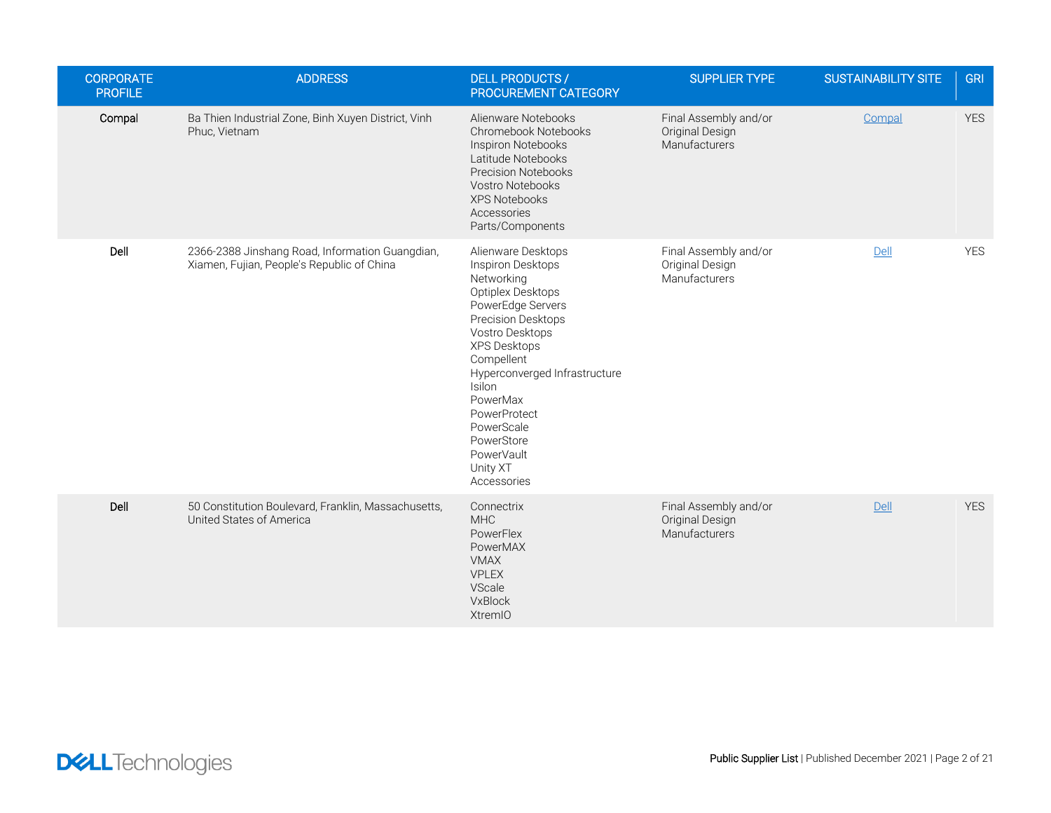| <b>CORPORATE</b><br><b>PROFILE</b> | <b>ADDRESS</b>                                                                                | <b>DELL PRODUCTS /</b><br>PROCUREMENT CATEGORY                                                                                                                                                                                                                                                                     | <b>SUPPLIER TYPE</b>                                      | <b>SUSTAINABILITY SITE</b> | <b>GRI</b> |
|------------------------------------|-----------------------------------------------------------------------------------------------|--------------------------------------------------------------------------------------------------------------------------------------------------------------------------------------------------------------------------------------------------------------------------------------------------------------------|-----------------------------------------------------------|----------------------------|------------|
| Compal                             | Ba Thien Industrial Zone, Binh Xuyen District, Vinh<br>Phuc, Vietnam                          | Alienware Notebooks<br>Chromebook Notebooks<br>Inspiron Notebooks<br>Latitude Notebooks<br><b>Precision Notebooks</b><br>Vostro Notebooks<br><b>XPS Notebooks</b><br>Accessories<br>Parts/Components                                                                                                               | Final Assembly and/or<br>Original Design<br>Manufacturers | Compal                     | <b>YES</b> |
| Dell                               | 2366-2388 Jinshang Road, Information Guangdian,<br>Xiamen, Fujian, People's Republic of China | Alienware Desktops<br>Inspiron Desktops<br>Networking<br>Optiplex Desktops<br>PowerEdge Servers<br>Precision Desktops<br>Vostro Desktops<br>XPS Desktops<br>Compellent<br>Hyperconverged Infrastructure<br>Isilon<br>PowerMax<br>PowerProtect<br>PowerScale<br>PowerStore<br>PowerVault<br>Unity XT<br>Accessories | Final Assembly and/or<br>Original Design<br>Manufacturers | Dell                       | <b>YES</b> |
| Dell                               | 50 Constitution Boulevard, Franklin, Massachusetts,<br>United States of America               | Connectrix<br><b>MHC</b><br>PowerFlex<br>PowerMAX<br><b>VMAX</b><br><b>VPLEX</b><br>VScale<br>VxBlock<br><b>XtremIO</b>                                                                                                                                                                                            | Final Assembly and/or<br>Original Design<br>Manufacturers | Dell                       | <b>YES</b> |

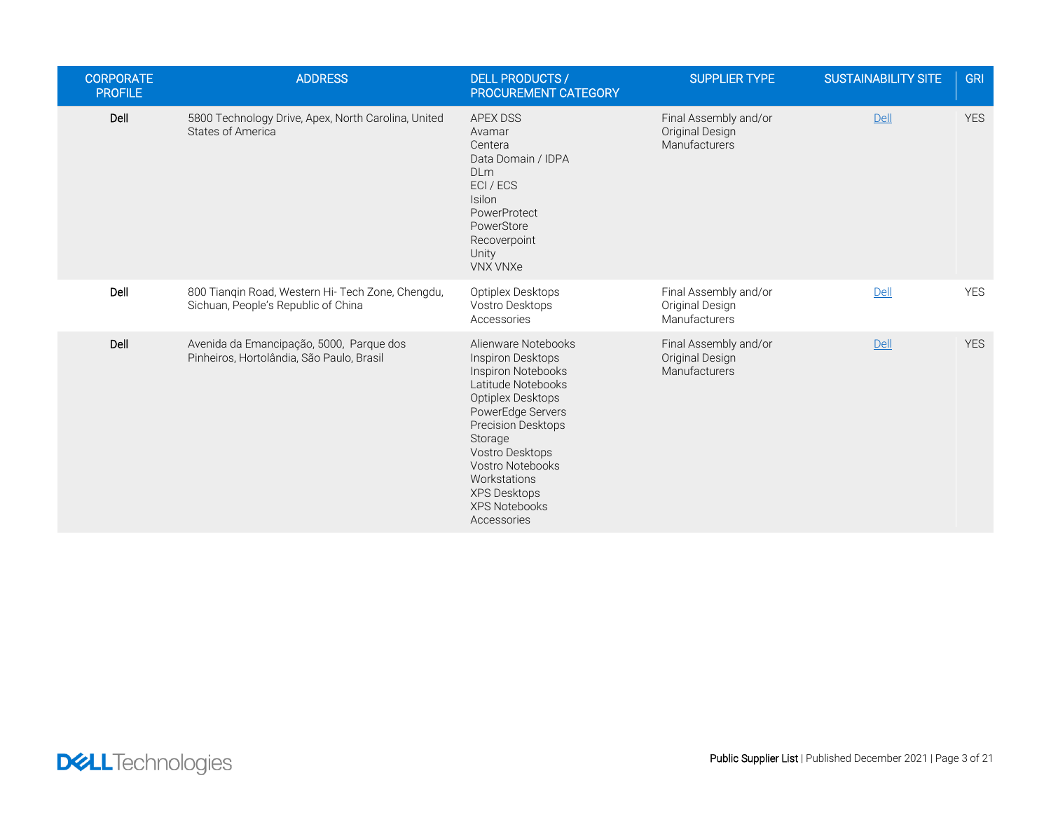| <b>CORPORATE</b><br><b>PROFILE</b> | <b>ADDRESS</b>                                                                           | <b>DELL PRODUCTS /</b><br>PROCUREMENT CATEGORY                                                                                                                                                                                                                                       | <b>SUPPLIER TYPE</b>                                             | <b>SUSTAINABILITY SITE</b> | <b>GRI</b> |
|------------------------------------|------------------------------------------------------------------------------------------|--------------------------------------------------------------------------------------------------------------------------------------------------------------------------------------------------------------------------------------------------------------------------------------|------------------------------------------------------------------|----------------------------|------------|
| Dell                               | 5800 Technology Drive, Apex, North Carolina, United<br><b>States of America</b>          | <b>APEX DSS</b><br>Avamar<br>Centera<br>Data Domain / IDPA<br><b>DLm</b><br>ECI / ECS<br>Isilon<br>PowerProtect<br>PowerStore<br>Recoverpoint<br>Unity<br><b>VNX VNXe</b>                                                                                                            | Final Assembly and/or<br>Original Design<br><b>Manufacturers</b> | Dell                       | <b>YES</b> |
| Dell                               | 800 Tiangin Road, Western Hi- Tech Zone, Chengdu,<br>Sichuan, People's Republic of China | Optiplex Desktops<br>Vostro Desktops<br>Accessories                                                                                                                                                                                                                                  | Final Assembly and/or<br>Original Design<br>Manufacturers        | Dell                       | <b>YES</b> |
| Dell                               | Avenida da Emancipação, 5000, Parque dos<br>Pinheiros, Hortolândia, São Paulo, Brasil    | Alienware Notebooks<br>Inspiron Desktops<br>Inspiron Notebooks<br>Latitude Notebooks<br>Optiplex Desktops<br>PowerEdge Servers<br>Precision Desktops<br>Storage<br>Vostro Desktops<br>Vostro Notebooks<br>Workstations<br><b>XPS Desktops</b><br><b>XPS Notebooks</b><br>Accessories | Final Assembly and/or<br>Original Design<br><b>Manufacturers</b> | Dell                       | <b>YES</b> |

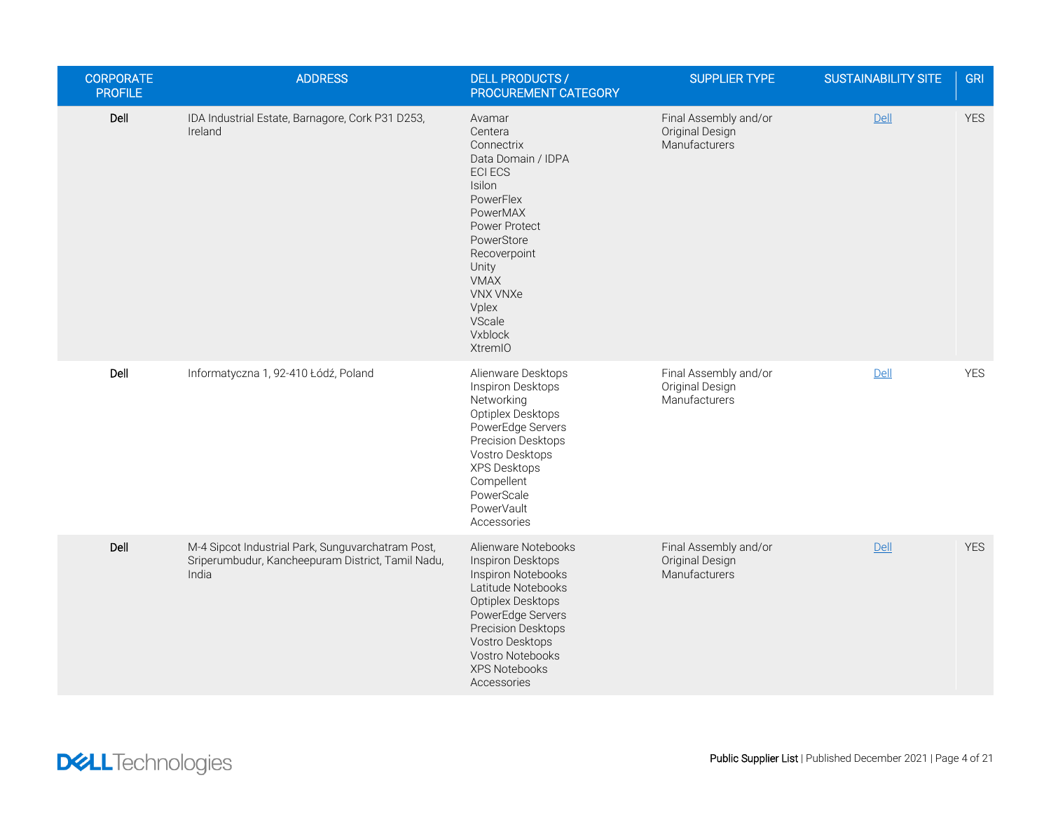| <b>CORPORATE</b><br><b>PROFILE</b> | <b>ADDRESS</b>                                                                                                  | <b>DELL PRODUCTS /</b><br>PROCUREMENT CATEGORY                                                                                                                                                                                                | SUPPLIER TYPE                                             | <b>SUSTAINABILITY SITE</b> | <b>GRI</b> |
|------------------------------------|-----------------------------------------------------------------------------------------------------------------|-----------------------------------------------------------------------------------------------------------------------------------------------------------------------------------------------------------------------------------------------|-----------------------------------------------------------|----------------------------|------------|
| Dell                               | IDA Industrial Estate, Barnagore, Cork P31 D253,<br>Ireland                                                     | Avamar<br>Centera<br>Connectrix<br>Data Domain / IDPA<br><b>ECI ECS</b><br><b>Isilon</b><br>PowerFlex<br>PowerMAX<br>Power Protect<br>PowerStore<br>Recoverpoint<br>Unity<br>VMAX<br><b>VNX VNXe</b><br>Vplex<br>VScale<br>Vxblock<br>XtremIO | Final Assembly and/or<br>Original Design<br>Manufacturers | Dell                       | <b>YES</b> |
| Dell                               | Informatyczna 1, 92-410 Łódź, Poland                                                                            | Alienware Desktops<br>Inspiron Desktops<br>Networking<br>Optiplex Desktops<br>PowerEdge Servers<br>Precision Desktops<br>Vostro Desktops<br><b>XPS Desktops</b><br>Compellent<br>PowerScale<br>PowerVault<br>Accessories                      | Final Assembly and/or<br>Original Design<br>Manufacturers | Dell                       | <b>YES</b> |
| Dell                               | M-4 Sipcot Industrial Park, Sunguvarchatram Post,<br>Sriperumbudur, Kancheepuram District, Tamil Nadu,<br>India | Alienware Notebooks<br>Inspiron Desktops<br>Inspiron Notebooks<br>Latitude Notebooks<br>Optiplex Desktops<br>PowerEdge Servers<br>Precision Desktops<br>Vostro Desktops<br>Vostro Notebooks<br><b>XPS Notebooks</b><br>Accessories            | Final Assembly and/or<br>Original Design<br>Manufacturers | Dell                       | <b>YES</b> |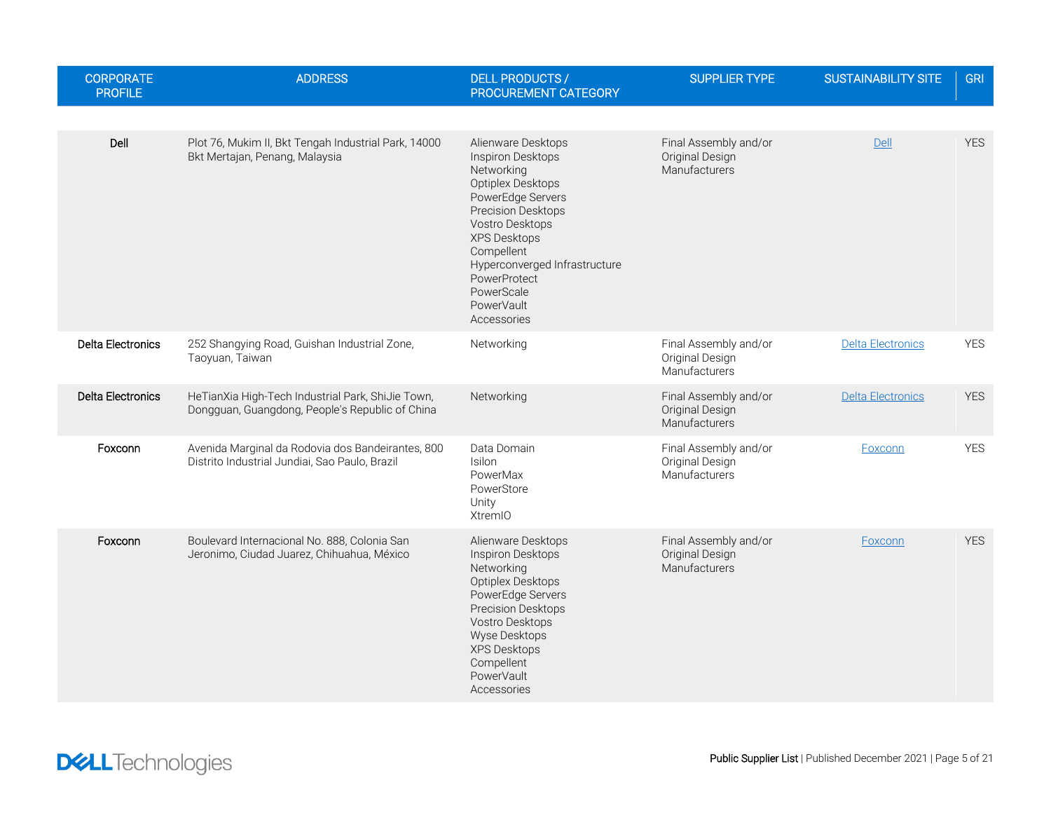| <b>CORPORATE</b><br><b>PROFILE</b> | <b>ADDRESS</b>                                                                                       | <b>DELL PRODUCTS /</b><br>PROCUREMENT CATEGORY                                                                                                                                                                                                                            | <b>SUPPLIER TYPE</b>                                      | <b>SUSTAINABILITY SITE</b> | <b>GRI</b> |
|------------------------------------|------------------------------------------------------------------------------------------------------|---------------------------------------------------------------------------------------------------------------------------------------------------------------------------------------------------------------------------------------------------------------------------|-----------------------------------------------------------|----------------------------|------------|
|                                    |                                                                                                      |                                                                                                                                                                                                                                                                           |                                                           |                            |            |
| Dell                               | Plot 76, Mukim II, Bkt Tengah Industrial Park, 14000<br>Bkt Mertajan, Penang, Malaysia               | Alienware Desktops<br>Inspiron Desktops<br>Networking<br>Optiplex Desktops<br>PowerEdge Servers<br>Precision Desktops<br>Vostro Desktops<br><b>XPS Desktops</b><br>Compellent<br>Hyperconverged Infrastructure<br>PowerProtect<br>PowerScale<br>PowerVault<br>Accessories | Final Assembly and/or<br>Original Design<br>Manufacturers | Dell                       | <b>YES</b> |
| Delta Electronics                  | 252 Shangying Road, Guishan Industrial Zone,<br>Taoyuan, Taiwan                                      | Networking                                                                                                                                                                                                                                                                | Final Assembly and/or<br>Original Design<br>Manufacturers | <b>Delta Electronics</b>   | <b>YES</b> |
| <b>Delta Electronics</b>           | HeTianXia High-Tech Industrial Park, ShiJie Town,<br>Dongguan, Guangdong, People's Republic of China | Networking                                                                                                                                                                                                                                                                | Final Assembly and/or<br>Original Design<br>Manufacturers | Delta Electronics          | <b>YES</b> |
| Foxconn                            | Avenida Marginal da Rodovia dos Bandeirantes, 800<br>Distrito Industrial Jundiai, Sao Paulo, Brazil  | Data Domain<br><b>Isilon</b><br>PowerMax<br>PowerStore<br>Unity<br><b>XtremIO</b>                                                                                                                                                                                         | Final Assembly and/or<br>Original Design<br>Manufacturers | Foxconn                    | <b>YES</b> |
| Foxconn                            | Boulevard Internacional No. 888, Colonia San<br>Jeronimo, Ciudad Juarez, Chihuahua, México           | Alienware Desktops<br>Inspiron Desktops<br>Networking<br>Optiplex Desktops<br>PowerEdge Servers<br>Precision Desktops<br>Vostro Desktops<br>Wyse Desktops<br>XPS Desktops<br>Compellent<br>PowerVault<br>Accessories                                                      | Final Assembly and/or<br>Original Design<br>Manufacturers | Foxconn                    | <b>YES</b> |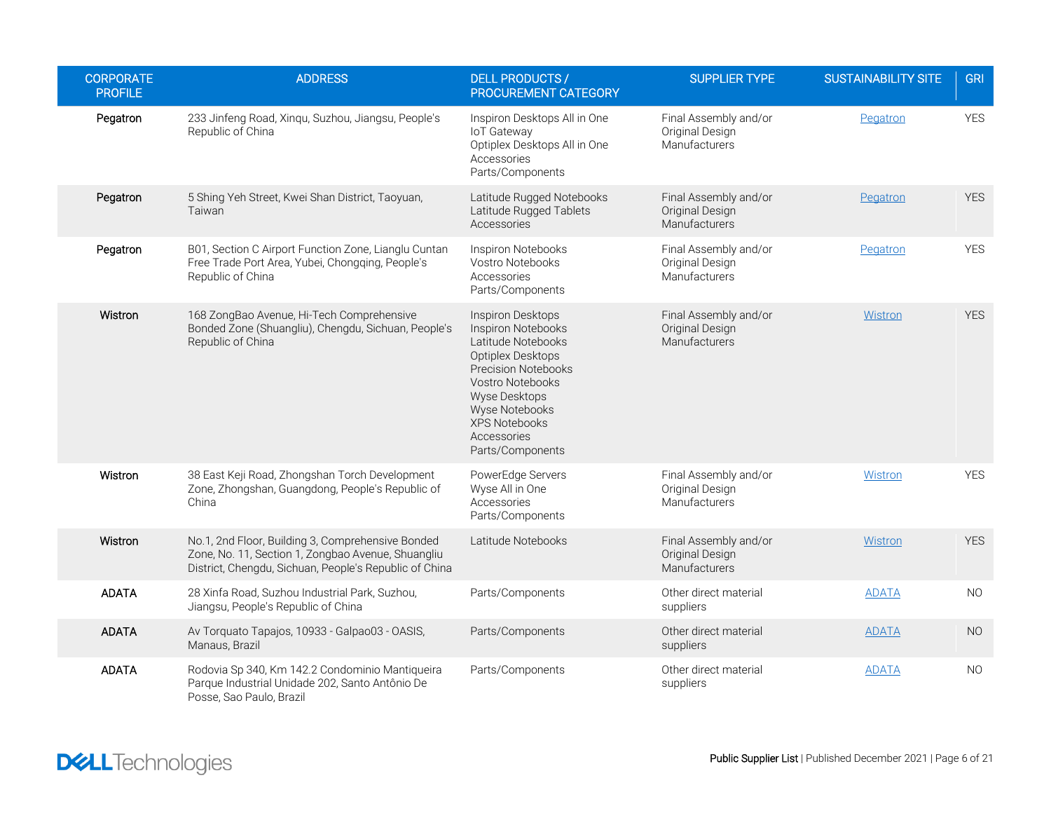| <b>CORPORATE</b><br><b>PROFILE</b> | <b>ADDRESS</b>                                                                                                                                                    | <b>DELL PRODUCTS /</b><br>PROCUREMENT CATEGORY                                                                                                                                                                                            | <b>SUPPLIER TYPE</b>                                      | <b>SUSTAINABILITY SITE</b> | <b>GRI</b> |
|------------------------------------|-------------------------------------------------------------------------------------------------------------------------------------------------------------------|-------------------------------------------------------------------------------------------------------------------------------------------------------------------------------------------------------------------------------------------|-----------------------------------------------------------|----------------------------|------------|
| Pegatron                           | 233 Jinfeng Road, Xinqu, Suzhou, Jiangsu, People's<br>Republic of China                                                                                           | Inspiron Desktops All in One<br>loT Gateway<br>Optiplex Desktops All in One<br>Accessories<br>Parts/Components                                                                                                                            | Final Assembly and/or<br>Original Design<br>Manufacturers | Pegatron                   | <b>YES</b> |
| Pegatron                           | 5 Shing Yeh Street, Kwei Shan District, Taoyuan,<br>Taiwan                                                                                                        | Latitude Rugged Notebooks<br>Latitude Rugged Tablets<br>Accessories                                                                                                                                                                       | Final Assembly and/or<br>Original Design<br>Manufacturers | Pegatron                   | <b>YES</b> |
| Pegatron                           | B01, Section C Airport Function Zone, Lianglu Cuntan<br>Free Trade Port Area, Yubei, Chongqing, People's<br>Republic of China                                     | Inspiron Notebooks<br>Vostro Notebooks<br>Accessories<br>Parts/Components                                                                                                                                                                 | Final Assembly and/or<br>Original Design<br>Manufacturers | Pegatron                   | <b>YES</b> |
| Wistron                            | 168 ZongBao Avenue, Hi-Tech Comprehensive<br>Bonded Zone (Shuangliu), Chengdu, Sichuan, People's<br>Republic of China                                             | Inspiron Desktops<br><b>Inspiron Notebooks</b><br>Latitude Notebooks<br>Optiplex Desktops<br><b>Precision Notebooks</b><br>Vostro Notebooks<br>Wyse Desktops<br>Wyse Notebooks<br><b>XPS Notebooks</b><br>Accessories<br>Parts/Components | Final Assembly and/or<br>Original Design<br>Manufacturers | Wistron                    | <b>YES</b> |
| Wistron                            | 38 East Keji Road, Zhongshan Torch Development<br>Zone, Zhongshan, Guangdong, People's Republic of<br>China                                                       | PowerEdge Servers<br>Wyse All in One<br>Accessories<br>Parts/Components                                                                                                                                                                   | Final Assembly and/or<br>Original Design<br>Manufacturers | Wistron                    | <b>YES</b> |
| Wistron                            | No.1, 2nd Floor, Building 3, Comprehensive Bonded<br>Zone, No. 11, Section 1, Zongbao Avenue, Shuangliu<br>District, Chengdu, Sichuan, People's Republic of China | Latitude Notebooks                                                                                                                                                                                                                        | Final Assembly and/or<br>Original Design<br>Manufacturers | Wistron                    | <b>YES</b> |
| <b>ADATA</b>                       | 28 Xinfa Road, Suzhou Industrial Park, Suzhou,<br>Jiangsu, People's Republic of China                                                                             | Parts/Components                                                                                                                                                                                                                          | Other direct material<br>suppliers                        | <b>ADATA</b>               | NO         |
| <b>ADATA</b>                       | Av Torquato Tapajos, 10933 - Galpao03 - OASIS,<br>Manaus, Brazil                                                                                                  | Parts/Components                                                                                                                                                                                                                          | Other direct material<br>suppliers                        | <b>ADATA</b>               | <b>NO</b>  |
| <b>ADATA</b>                       | Rodovia Sp 340, Km 142.2 Condominio Mantiqueira<br>Parque Industrial Unidade 202, Santo Antônio De<br>Posse, Sao Paulo, Brazil                                    | Parts/Components                                                                                                                                                                                                                          | Other direct material<br>suppliers                        | <b>ADATA</b>               | NO.        |

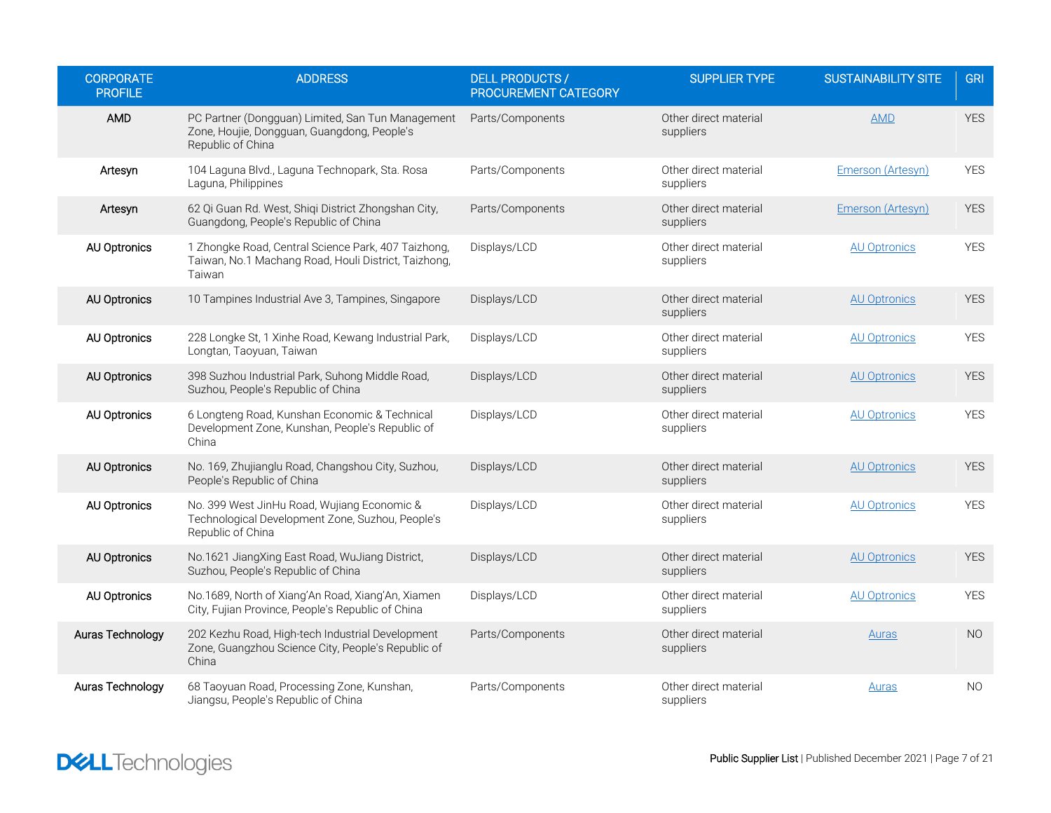| <b>CORPORATE</b><br><b>PROFILE</b> | <b>ADDRESS</b>                                                                                                        | <b>DELL PRODUCTS /</b><br>PROCUREMENT CATEGORY | <b>SUPPLIER TYPE</b>               | <b>SUSTAINABILITY SITE</b> | <b>GRI</b> |
|------------------------------------|-----------------------------------------------------------------------------------------------------------------------|------------------------------------------------|------------------------------------|----------------------------|------------|
| AMD                                | PC Partner (Dongguan) Limited, San Tun Management<br>Zone, Houjie, Dongguan, Guangdong, People's<br>Republic of China | Parts/Components                               | Other direct material<br>suppliers | <b>AMD</b>                 | <b>YES</b> |
| Artesyn                            | 104 Laguna Blvd., Laguna Technopark, Sta. Rosa<br>Laguna, Philippines                                                 | Parts/Components                               | Other direct material<br>suppliers | Emerson (Artesyn)          | <b>YES</b> |
| Artesyn                            | 62 Qi Guan Rd. West, Shiqi District Zhongshan City,<br>Guangdong, People's Republic of China                          | Parts/Components                               | Other direct material<br>suppliers | Emerson (Artesyn)          | <b>YES</b> |
| AU Optronics                       | 1 Zhongke Road, Central Science Park, 407 Taizhong,<br>Taiwan, No.1 Machang Road, Houli District, Taizhong,<br>Taiwan | Displays/LCD                                   | Other direct material<br>suppliers | <b>AU Optronics</b>        | <b>YES</b> |
| AU Optronics                       | 10 Tampines Industrial Ave 3, Tampines, Singapore                                                                     | Displays/LCD                                   | Other direct material<br>suppliers | <b>AU Optronics</b>        | <b>YES</b> |
| <b>AU Optronics</b>                | 228 Longke St, 1 Xinhe Road, Kewang Industrial Park,<br>Longtan, Taoyuan, Taiwan                                      | Displays/LCD                                   | Other direct material<br>suppliers | <b>AU Optronics</b>        | <b>YES</b> |
| <b>AU Optronics</b>                | 398 Suzhou Industrial Park, Suhong Middle Road,<br>Suzhou, People's Republic of China                                 | Displays/LCD                                   | Other direct material<br>suppliers | <b>AU Optronics</b>        | <b>YES</b> |
| <b>AU Optronics</b>                | 6 Longteng Road, Kunshan Economic & Technical<br>Development Zone, Kunshan, People's Republic of<br>China             | Displays/LCD                                   | Other direct material<br>suppliers | <b>AU Optronics</b>        | <b>YES</b> |
| <b>AU Optronics</b>                | No. 169, Zhujianglu Road, Changshou City, Suzhou,<br>People's Republic of China                                       | Displays/LCD                                   | Other direct material<br>suppliers | <b>AU Optronics</b>        | <b>YES</b> |
| <b>AU Optronics</b>                | No. 399 West JinHu Road, Wujiang Economic &<br>Technological Development Zone, Suzhou, People's<br>Republic of China  | Displays/LCD                                   | Other direct material<br>suppliers | <b>AU Optronics</b>        | <b>YES</b> |
| <b>AU Optronics</b>                | No.1621 JiangXing East Road, WuJiang District,<br>Suzhou, People's Republic of China                                  | Displays/LCD                                   | Other direct material<br>suppliers | <b>AU Optronics</b>        | <b>YES</b> |
| <b>AU Optronics</b>                | No.1689, North of Xiang'An Road, Xiang'An, Xiamen<br>City, Fujian Province, People's Republic of China                | Displays/LCD                                   | Other direct material<br>suppliers | <b>AU Optronics</b>        | <b>YES</b> |
| Auras Technology                   | 202 Kezhu Road, High-tech Industrial Development<br>Zone, Guangzhou Science City, People's Republic of<br>China       | Parts/Components                               | Other direct material<br>suppliers | Auras                      | <b>NO</b>  |
| Auras Technology                   | 68 Taoyuan Road, Processing Zone, Kunshan,<br>Jiangsu, People's Republic of China                                     | Parts/Components                               | Other direct material<br>suppliers | Auras                      | <b>NO</b>  |

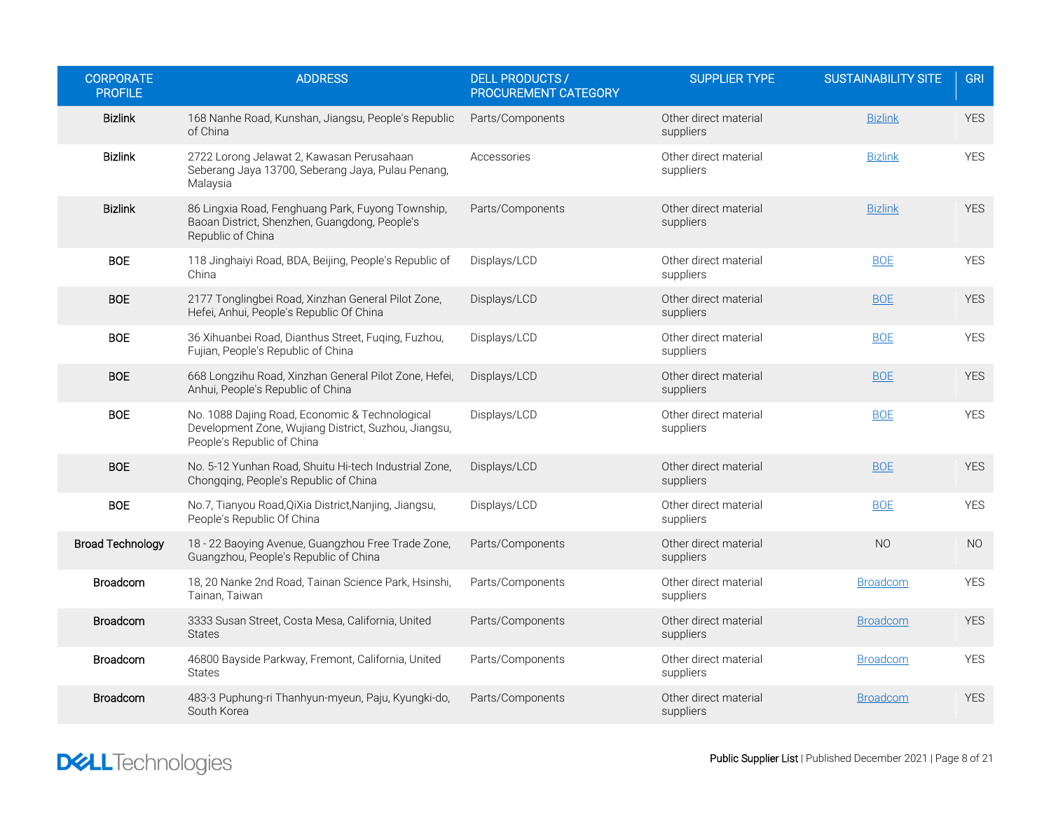| <b>CORPORATE</b><br><b>PROFILE</b> | <b>ADDRESS</b>                                                                                                                       | <b>DELL PRODUCTS /</b><br>PROCUREMENT CATEGORY | <b>SUPPLIER TYPE</b>               | <b>SUSTAINABILITY SITE</b> | <b>GRI</b>     |
|------------------------------------|--------------------------------------------------------------------------------------------------------------------------------------|------------------------------------------------|------------------------------------|----------------------------|----------------|
| <b>Bizlink</b>                     | 168 Nanhe Road, Kunshan, Jiangsu, People's Republic<br>of China                                                                      | Parts/Components                               | Other direct material<br>suppliers | <b>Bizlink</b>             | <b>YES</b>     |
| <b>Bizlink</b>                     | 2722 Lorong Jelawat 2, Kawasan Perusahaan<br>Seberang Jaya 13700, Seberang Jaya, Pulau Penang,<br>Malaysia                           | Accessories                                    | Other direct material<br>suppliers | <b>Bizlink</b>             | <b>YES</b>     |
| <b>Bizlink</b>                     | 86 Lingxia Road, Fenghuang Park, Fuyong Township,<br>Baoan District, Shenzhen, Guangdong, People's<br>Republic of China              | Parts/Components                               | Other direct material<br>suppliers | <b>Bizlink</b>             | <b>YES</b>     |
| <b>BOE</b>                         | 118 Jinghaiyi Road, BDA, Beijing, People's Republic of<br>China                                                                      | Displays/LCD                                   | Other direct material<br>suppliers | <b>BOE</b>                 | <b>YES</b>     |
| <b>BOE</b>                         | 2177 Tonglingbei Road, Xinzhan General Pilot Zone,<br>Hefei, Anhui, People's Republic Of China                                       | Displays/LCD                                   | Other direct material<br>suppliers | <b>BOE</b>                 | <b>YES</b>     |
| <b>BOE</b>                         | 36 Xihuanbei Road, Dianthus Street, Fuqing, Fuzhou,<br>Fujian, People's Republic of China                                            | Displays/LCD                                   | Other direct material<br>suppliers | <b>BOE</b>                 | <b>YES</b>     |
| <b>BOE</b>                         | 668 Longzihu Road, Xinzhan General Pilot Zone, Hefei,<br>Anhui, People's Republic of China                                           | Displays/LCD                                   | Other direct material<br>suppliers | <b>BOE</b>                 | <b>YES</b>     |
| <b>BOE</b>                         | No. 1088 Dajing Road, Economic & Technological<br>Development Zone, Wujiang District, Suzhou, Jiangsu,<br>People's Republic of China | Displays/LCD                                   | Other direct material<br>suppliers | <b>BOE</b>                 | <b>YES</b>     |
| <b>BOE</b>                         | No. 5-12 Yunhan Road, Shuitu Hi-tech Industrial Zone,<br>Chongqing, People's Republic of China                                       | Displays/LCD                                   | Other direct material<br>suppliers | <b>BOE</b>                 | <b>YES</b>     |
| <b>BOE</b>                         | No.7, Tianyou Road, QiXia District, Nanjing, Jiangsu,<br>People's Republic Of China                                                  | Displays/LCD                                   | Other direct material<br>suppliers | <b>BOE</b>                 | <b>YES</b>     |
| <b>Broad Technology</b>            | 18 - 22 Baoying Avenue, Guangzhou Free Trade Zone,<br>Guangzhou, People's Republic of China                                          | Parts/Components                               | Other direct material<br>suppliers | N <sub>O</sub>             | N <sub>O</sub> |
| <b>Broadcom</b>                    | 18, 20 Nanke 2nd Road, Tainan Science Park, Hsinshi,<br>Tainan, Taiwan                                                               | Parts/Components                               | Other direct material<br>suppliers | <b>Broadcom</b>            | <b>YES</b>     |
| <b>Broadcom</b>                    | 3333 Susan Street, Costa Mesa, California, United<br><b>States</b>                                                                   | Parts/Components                               | Other direct material<br>suppliers | <b>Broadcom</b>            | <b>YES</b>     |
| <b>Broadcom</b>                    | 46800 Bayside Parkway, Fremont, California, United<br><b>States</b>                                                                  | Parts/Components                               | Other direct material<br>suppliers | Broadcom                   | <b>YES</b>     |
| <b>Broadcom</b>                    | 483-3 Puphung-ri Thanhyun-myeun, Paju, Kyungki-do,<br>South Korea                                                                    | Parts/Components                               | Other direct material<br>suppliers | <b>Broadcom</b>            | <b>YES</b>     |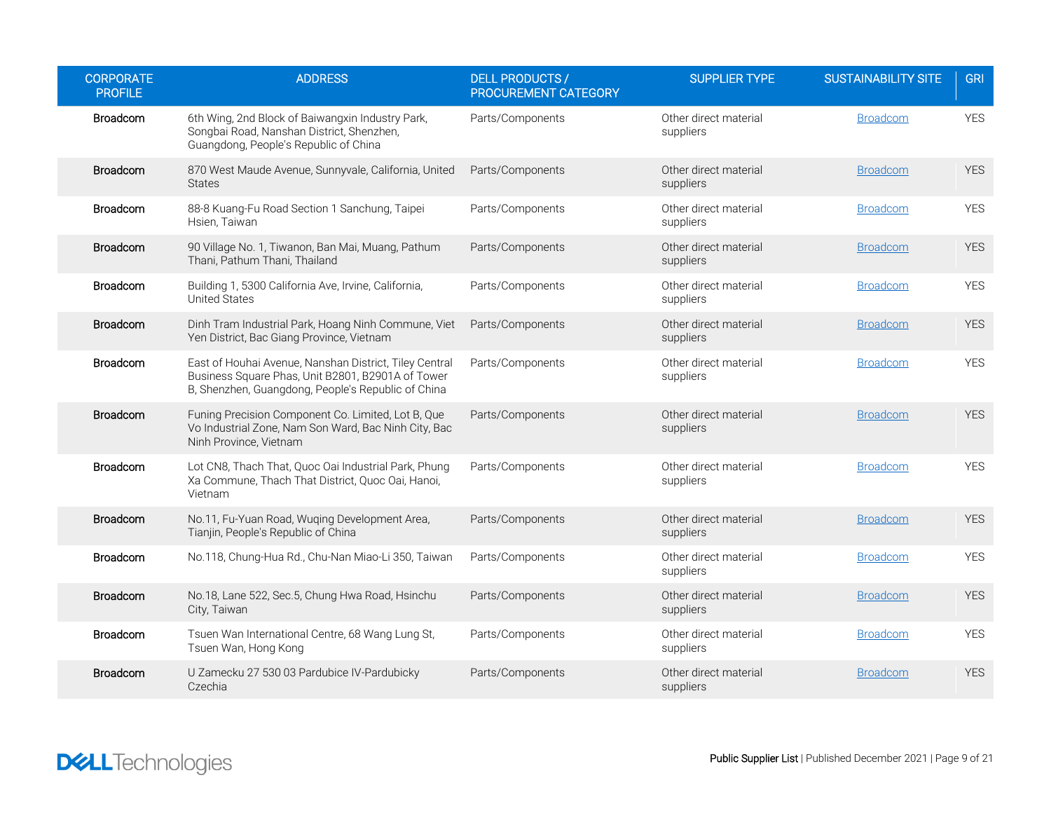| <b>CORPORATE</b><br><b>PROFILE</b> | <b>ADDRESS</b>                                                                                                                                                    | <b>DELL PRODUCTS /</b><br><b>PROCUREMENT CATEGORY</b> | <b>SUPPLIER TYPE</b>               | <b>SUSTAINABILITY SITE</b> | <b>GRI</b> |
|------------------------------------|-------------------------------------------------------------------------------------------------------------------------------------------------------------------|-------------------------------------------------------|------------------------------------|----------------------------|------------|
| <b>Broadcom</b>                    | 6th Wing, 2nd Block of Baiwangxin Industry Park,<br>Songbai Road, Nanshan District, Shenzhen,<br>Guangdong, People's Republic of China                            | Parts/Components                                      | Other direct material<br>suppliers | <b>Broadcom</b>            | <b>YES</b> |
| Broadcom                           | 870 West Maude Avenue, Sunnyvale, California, United<br><b>States</b>                                                                                             | Parts/Components                                      | Other direct material<br>suppliers | <b>Broadcom</b>            | <b>YES</b> |
| <b>Broadcom</b>                    | 88-8 Kuang-Fu Road Section 1 Sanchung, Taipei<br>Hsien. Taiwan                                                                                                    | Parts/Components                                      | Other direct material<br>suppliers | <b>Broadcom</b>            | <b>YES</b> |
| <b>Broadcom</b>                    | 90 Village No. 1, Tiwanon, Ban Mai, Muang, Pathum<br>Thani, Pathum Thani, Thailand                                                                                | Parts/Components                                      | Other direct material<br>suppliers | <b>Broadcom</b>            | <b>YES</b> |
| Broadcom                           | Building 1, 5300 California Ave, Irvine, California,<br><b>United States</b>                                                                                      | Parts/Components                                      | Other direct material<br>suppliers | <b>Broadcom</b>            | <b>YES</b> |
| Broadcom                           | Dinh Tram Industrial Park, Hoang Ninh Commune, Viet<br>Yen District, Bac Giang Province, Vietnam                                                                  | Parts/Components                                      | Other direct material<br>suppliers | <b>Broadcom</b>            | <b>YES</b> |
| Broadcom                           | East of Houhai Avenue, Nanshan District, Tiley Central<br>Business Square Phas, Unit B2801, B2901A of Tower<br>B, Shenzhen, Guangdong, People's Republic of China | Parts/Components                                      | Other direct material<br>suppliers | <b>Broadcom</b>            | <b>YES</b> |
| Broadcom                           | Funing Precision Component Co. Limited, Lot B, Que<br>Vo Industrial Zone, Nam Son Ward, Bac Ninh City, Bac<br>Ninh Province, Vietnam                              | Parts/Components                                      | Other direct material<br>suppliers | <b>Broadcom</b>            | <b>YES</b> |
| <b>Broadcom</b>                    | Lot CN8, Thach That, Quoc Oai Industrial Park, Phung<br>Xa Commune, Thach That District, Quoc Oai, Hanoi,<br>Vietnam                                              | Parts/Components                                      | Other direct material<br>suppliers | <b>Broadcom</b>            | <b>YES</b> |
| <b>Broadcom</b>                    | No.11, Fu-Yuan Road, Wuging Development Area,<br>Tianjin, People's Republic of China                                                                              | Parts/Components                                      | Other direct material<br>suppliers | <b>Broadcom</b>            | <b>YES</b> |
| <b>Broadcom</b>                    | No.118, Chung-Hua Rd., Chu-Nan Miao-Li 350, Taiwan                                                                                                                | Parts/Components                                      | Other direct material<br>suppliers | <b>Broadcom</b>            | <b>YES</b> |
| <b>Broadcom</b>                    | No.18, Lane 522, Sec.5, Chung Hwa Road, Hsinchu<br>City, Taiwan                                                                                                   | Parts/Components                                      | Other direct material<br>suppliers | <b>Broadcom</b>            | <b>YES</b> |
| <b>Broadcom</b>                    | Tsuen Wan International Centre, 68 Wang Lung St,<br>Tsuen Wan, Hong Kong                                                                                          | Parts/Components                                      | Other direct material<br>suppliers | <b>Broadcom</b>            | <b>YES</b> |
| Broadcom                           | U Zamecku 27 530 03 Pardubice IV-Pardubicky<br>Czechia                                                                                                            | Parts/Components                                      | Other direct material<br>suppliers | <b>Broadcom</b>            | <b>YES</b> |

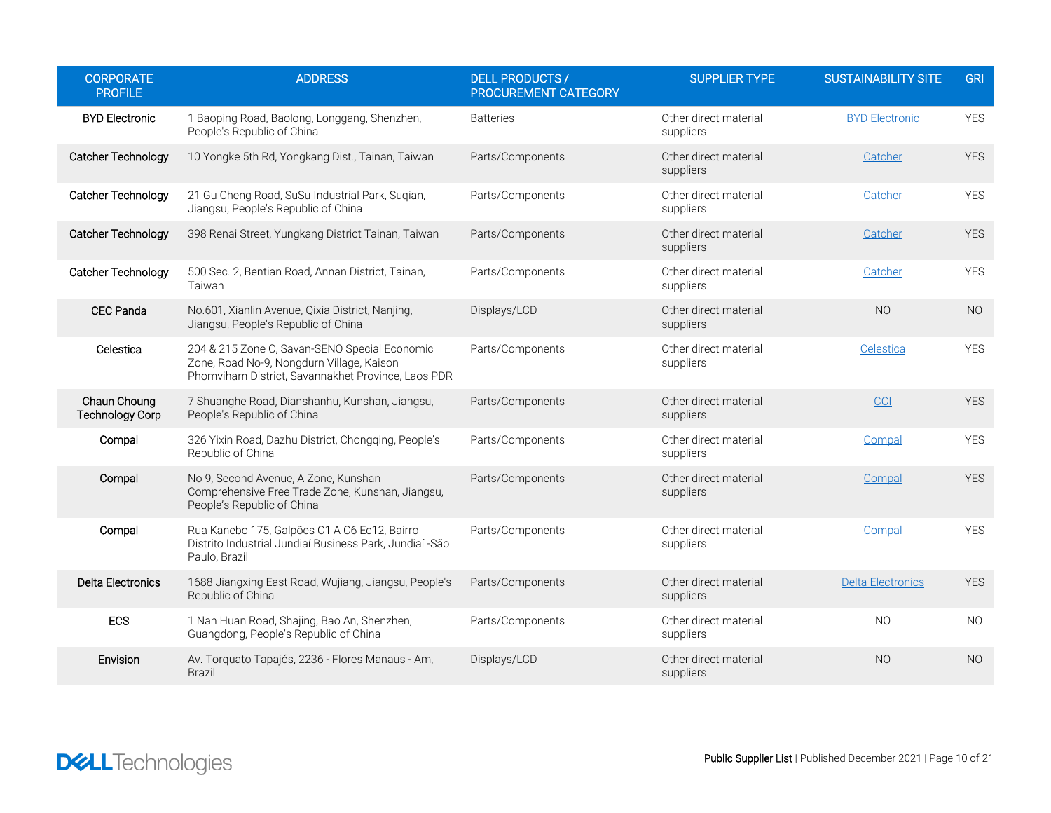| <b>CORPORATE</b><br><b>PROFILE</b>     | <b>ADDRESS</b>                                                                                                                                    | <b>DELL PRODUCTS /</b><br>PROCUREMENT CATEGORY | <b>SUPPLIER TYPE</b>               | <b>SUSTAINABILITY SITE</b> | <b>GRI</b> |
|----------------------------------------|---------------------------------------------------------------------------------------------------------------------------------------------------|------------------------------------------------|------------------------------------|----------------------------|------------|
| <b>BYD Electronic</b>                  | 1 Baoping Road, Baolong, Longgang, Shenzhen,<br>People's Republic of China                                                                        | <b>Batteries</b>                               | Other direct material<br>suppliers | <b>BYD Electronic</b>      | <b>YES</b> |
| Catcher Technology                     | 10 Yongke 5th Rd, Yongkang Dist., Tainan, Taiwan                                                                                                  | Parts/Components                               | Other direct material<br>suppliers | Catcher                    | <b>YES</b> |
| Catcher Technology                     | 21 Gu Cheng Road, SuSu Industrial Park, Suqian,<br>Jiangsu, People's Republic of China                                                            | Parts/Components                               | Other direct material<br>suppliers | Catcher                    | <b>YES</b> |
| Catcher Technology                     | 398 Renai Street, Yungkang District Tainan, Taiwan                                                                                                | Parts/Components                               | Other direct material<br>suppliers | Catcher                    | <b>YES</b> |
| <b>Catcher Technology</b>              | 500 Sec. 2, Bentian Road, Annan District, Tainan,<br>Taiwan                                                                                       | Parts/Components                               | Other direct material<br>suppliers | Catcher                    | <b>YES</b> |
| <b>CEC Panda</b>                       | No.601, Xianlin Avenue, Qixia District, Nanjing,<br>Jiangsu, People's Republic of China                                                           | Displays/LCD                                   | Other direct material<br>suppliers | N <sub>O</sub>             | <b>NO</b>  |
| Celestica                              | 204 & 215 Zone C, Savan-SENO Special Economic<br>Zone, Road No-9, Nongdurn Village, Kaison<br>Phomviharn District, Savannakhet Province, Laos PDR | Parts/Components                               | Other direct material<br>suppliers | Celestica                  | <b>YES</b> |
| Chaun Choung<br><b>Technology Corp</b> | 7 Shuanghe Road, Dianshanhu, Kunshan, Jiangsu,<br>People's Republic of China                                                                      | Parts/Components                               | Other direct material<br>suppliers | <sub>CC</sub>              | <b>YES</b> |
| Compal                                 | 326 Yixin Road, Dazhu District, Chongqing, People's<br>Republic of China                                                                          | Parts/Components                               | Other direct material<br>suppliers | Compal                     | <b>YES</b> |
| Compal                                 | No 9, Second Avenue, A Zone, Kunshan<br>Comprehensive Free Trade Zone, Kunshan, Jiangsu,<br>People's Republic of China                            | Parts/Components                               | Other direct material<br>suppliers | Compal                     | <b>YES</b> |
| Compal                                 | Rua Kanebo 175, Galpões C1 A C6 Ec12, Bairro<br>Distrito Industrial Jundiaí Business Park, Jundiaí -São<br>Paulo, Brazil                          | Parts/Components                               | Other direct material<br>suppliers | Compal                     | <b>YES</b> |
| Delta Electronics                      | 1688 Jiangxing East Road, Wujiang, Jiangsu, People's<br>Republic of China                                                                         | Parts/Components                               | Other direct material<br>suppliers | <b>Delta Electronics</b>   | <b>YES</b> |
| ECS                                    | 1 Nan Huan Road, Shajing, Bao An, Shenzhen,<br>Guangdong, People's Republic of China                                                              | Parts/Components                               | Other direct material<br>suppliers | <b>NO</b>                  | <b>NO</b>  |
| Envision                               | Av. Torquato Tapajós, 2236 - Flores Manaus - Am,<br><b>Brazil</b>                                                                                 | Displays/LCD                                   | Other direct material<br>suppliers | N <sub>O</sub>             | <b>NO</b>  |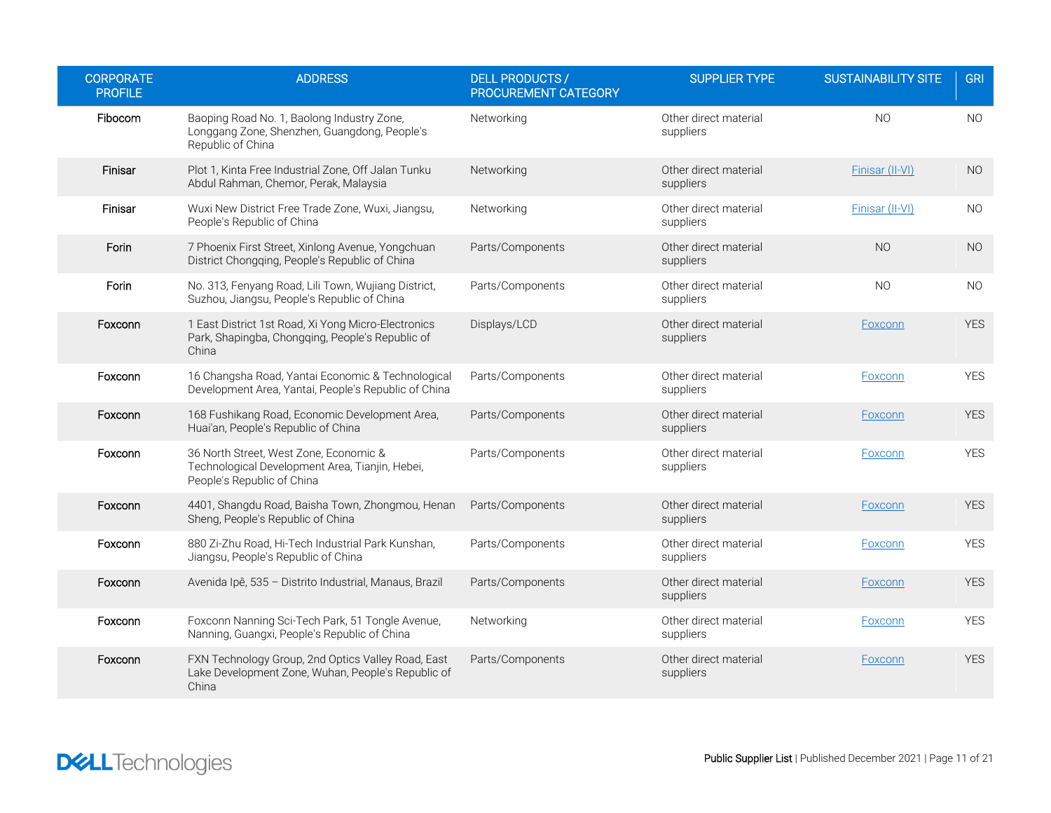| <b>CORPORATE</b><br><b>PROFILE</b> | <b>ADDRESS</b>                                                                                                          | <b>DELL PRODUCTS /</b><br>PROCUREMENT CATEGORY | <b>SUPPLIER TYPE</b>               | <b>SUSTAINABILITY SITE</b> | <b>GRI</b> |
|------------------------------------|-------------------------------------------------------------------------------------------------------------------------|------------------------------------------------|------------------------------------|----------------------------|------------|
| Fibocom                            | Baoping Road No. 1, Baolong Industry Zone,<br>Longgang Zone, Shenzhen, Guangdong, People's<br>Republic of China         | Networking                                     | Other direct material<br>suppliers | N <sub>O</sub>             | <b>NO</b>  |
| Finisar                            | Plot 1, Kinta Free Industrial Zone, Off Jalan Tunku<br>Abdul Rahman, Chemor, Perak, Malaysia                            | Networking                                     | Other direct material<br>suppliers | Finisar (II-VI)            | <b>NO</b>  |
| Finisar                            | Wuxi New District Free Trade Zone, Wuxi, Jiangsu,<br>People's Republic of China                                         | Networking                                     | Other direct material<br>suppliers | Finisar (II-VI)            | <b>NO</b>  |
| Forin                              | 7 Phoenix First Street, Xinlong Avenue, Yongchuan<br>District Chongqing, People's Republic of China                     | Parts/Components                               | Other direct material<br>suppliers | N <sub>O</sub>             | <b>NO</b>  |
| Forin                              | No. 313, Fenyang Road, Lili Town, Wujiang District,<br>Suzhou, Jiangsu, People's Republic of China                      | Parts/Components                               | Other direct material<br>suppliers | N <sub>O</sub>             | <b>NO</b>  |
| Foxconn                            | 1 East District 1st Road, Xi Yong Micro-Electronics<br>Park, Shapingba, Chongging, People's Republic of<br>China        | Displays/LCD                                   | Other direct material<br>suppliers | Foxconn                    | <b>YES</b> |
| Foxconn                            | 16 Changsha Road, Yantai Economic & Technological<br>Development Area, Yantai, People's Republic of China               | Parts/Components                               | Other direct material<br>suppliers | Foxconn                    | <b>YES</b> |
| Foxconn                            | 168 Fushikang Road, Economic Development Area,<br>Huai'an, People's Republic of China                                   | Parts/Components                               | Other direct material<br>suppliers | Foxconn                    | <b>YES</b> |
| Foxconn                            | 36 North Street, West Zone, Economic &<br>Technological Development Area, Tianjin, Hebei,<br>People's Republic of China | Parts/Components                               | Other direct material<br>suppliers | Foxconn                    | <b>YES</b> |
| Foxconn                            | 4401, Shangdu Road, Baisha Town, Zhongmou, Henan<br>Sheng, People's Republic of China                                   | Parts/Components                               | Other direct material<br>suppliers | Foxconn                    | <b>YES</b> |
| Foxconn                            | 880 Zi-Zhu Road, Hi-Tech Industrial Park Kunshan,<br>Jiangsu, People's Republic of China                                | Parts/Components                               | Other direct material<br>suppliers | Foxconn                    | <b>YES</b> |
| Foxconn                            | Avenida Ipê, 535 - Distrito Industrial, Manaus, Brazil                                                                  | Parts/Components                               | Other direct material<br>suppliers | Foxconn                    | <b>YES</b> |
| Foxconn                            | Foxconn Nanning Sci-Tech Park, 51 Tongle Avenue,<br>Nanning, Guangxi, People's Republic of China                        | Networking                                     | Other direct material<br>suppliers | Foxconn                    | <b>YES</b> |
| Foxconn                            | FXN Technology Group, 2nd Optics Valley Road, East<br>Lake Development Zone, Wuhan, People's Republic of<br>China       | Parts/Components                               | Other direct material<br>suppliers | Foxconn                    | <b>YES</b> |

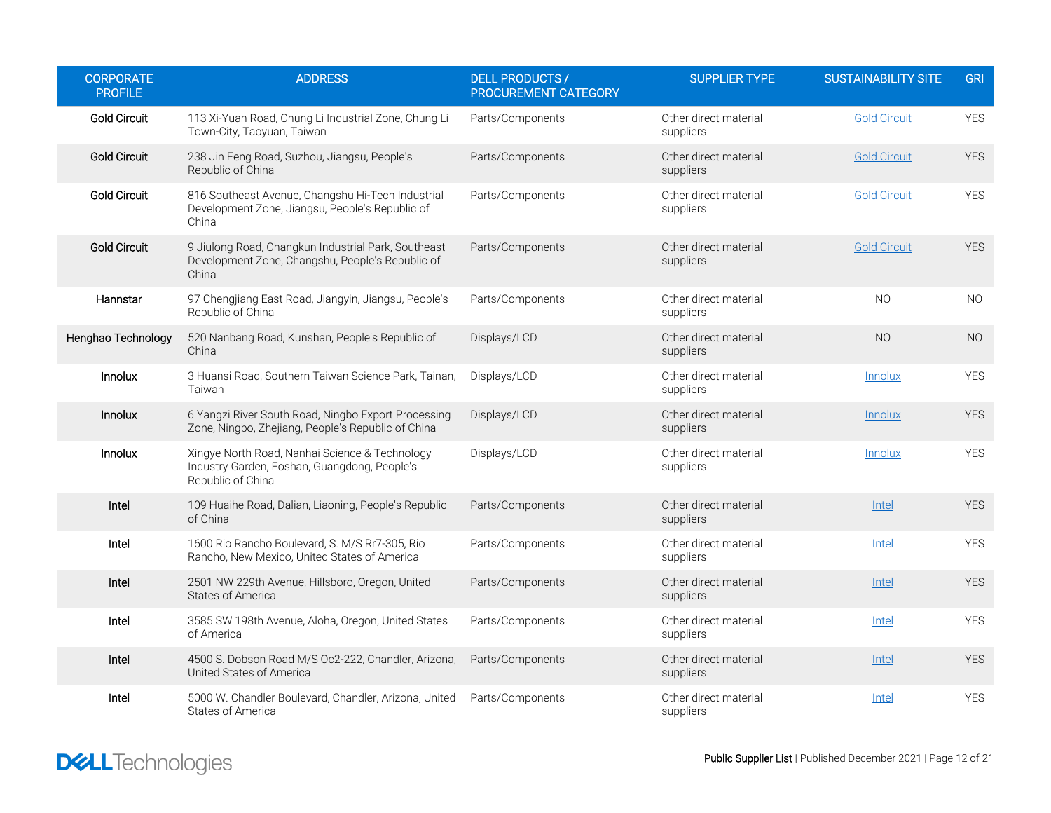| <b>CORPORATE</b><br><b>PROFILE</b> | <b>ADDRESS</b>                                                                                                      | <b>DELL PRODUCTS /</b><br>PROCUREMENT CATEGORY | <b>SUPPLIER TYPE</b>               | <b>SUSTAINABILITY SITE</b> | <b>GRI</b>     |
|------------------------------------|---------------------------------------------------------------------------------------------------------------------|------------------------------------------------|------------------------------------|----------------------------|----------------|
| <b>Gold Circuit</b>                | 113 Xi-Yuan Road, Chung Li Industrial Zone, Chung Li<br>Town-City, Taoyuan, Taiwan                                  | Parts/Components                               | Other direct material<br>suppliers | <b>Gold Circuit</b>        | <b>YES</b>     |
| <b>Gold Circuit</b>                | 238 Jin Feng Road, Suzhou, Jiangsu, People's<br>Republic of China                                                   | Parts/Components                               | Other direct material<br>suppliers | <b>Gold Circuit</b>        | <b>YES</b>     |
| <b>Gold Circuit</b>                | 816 Southeast Avenue, Changshu Hi-Tech Industrial<br>Development Zone, Jiangsu, People's Republic of<br>China       | Parts/Components                               | Other direct material<br>suppliers | <b>Gold Circuit</b>        | <b>YES</b>     |
| <b>Gold Circuit</b>                | 9 Jiulong Road, Changkun Industrial Park, Southeast<br>Development Zone, Changshu, People's Republic of<br>China    | Parts/Components                               | Other direct material<br>suppliers | <b>Gold Circuit</b>        | <b>YES</b>     |
| Hannstar                           | 97 Chengjiang East Road, Jiangyin, Jiangsu, People's<br>Republic of China                                           | Parts/Components                               | Other direct material<br>suppliers | N <sub>O</sub>             | <b>NO</b>      |
| Henghao Technology                 | 520 Nanbang Road, Kunshan, People's Republic of<br>China                                                            | Displays/LCD                                   | Other direct material<br>suppliers | <b>NO</b>                  | N <sub>O</sub> |
| Innolux                            | 3 Huansi Road, Southern Taiwan Science Park, Tainan,<br>Taiwan                                                      | Displays/LCD                                   | Other direct material<br>suppliers | Innolux                    | <b>YES</b>     |
| Innolux                            | 6 Yangzi River South Road, Ningbo Export Processing<br>Zone, Ningbo, Zhejiang, People's Republic of China           | Displays/LCD                                   | Other direct material<br>suppliers | Innolux                    | <b>YES</b>     |
| Innolux                            | Xingye North Road, Nanhai Science & Technology<br>Industry Garden, Foshan, Guangdong, People's<br>Republic of China | Displays/LCD                                   | Other direct material<br>suppliers | <b>Innolux</b>             | <b>YES</b>     |
| Intel                              | 109 Huaihe Road, Dalian, Liaoning, People's Republic<br>of China                                                    | Parts/Components                               | Other direct material<br>suppliers | Intel                      | <b>YES</b>     |
| Intel                              | 1600 Rio Rancho Boulevard, S. M/S Rr7-305, Rio<br>Rancho, New Mexico, United States of America                      | Parts/Components                               | Other direct material<br>suppliers | Intel                      | <b>YES</b>     |
| Intel                              | 2501 NW 229th Avenue, Hillsboro, Oregon, United<br><b>States of America</b>                                         | Parts/Components                               | Other direct material<br>suppliers | Intel                      | <b>YES</b>     |
| Intel                              | 3585 SW 198th Avenue, Aloha, Oregon, United States<br>of America                                                    | Parts/Components                               | Other direct material<br>suppliers | Intel                      | <b>YES</b>     |
| Intel                              | 4500 S. Dobson Road M/S Oc2-222, Chandler, Arizona,<br>United States of America                                     | Parts/Components                               | Other direct material<br>suppliers | Intel                      | <b>YES</b>     |
| Intel                              | 5000 W. Chandler Boulevard, Chandler, Arizona, United<br><b>States of America</b>                                   | Parts/Components                               | Other direct material<br>suppliers | Intel                      | <b>YES</b>     |

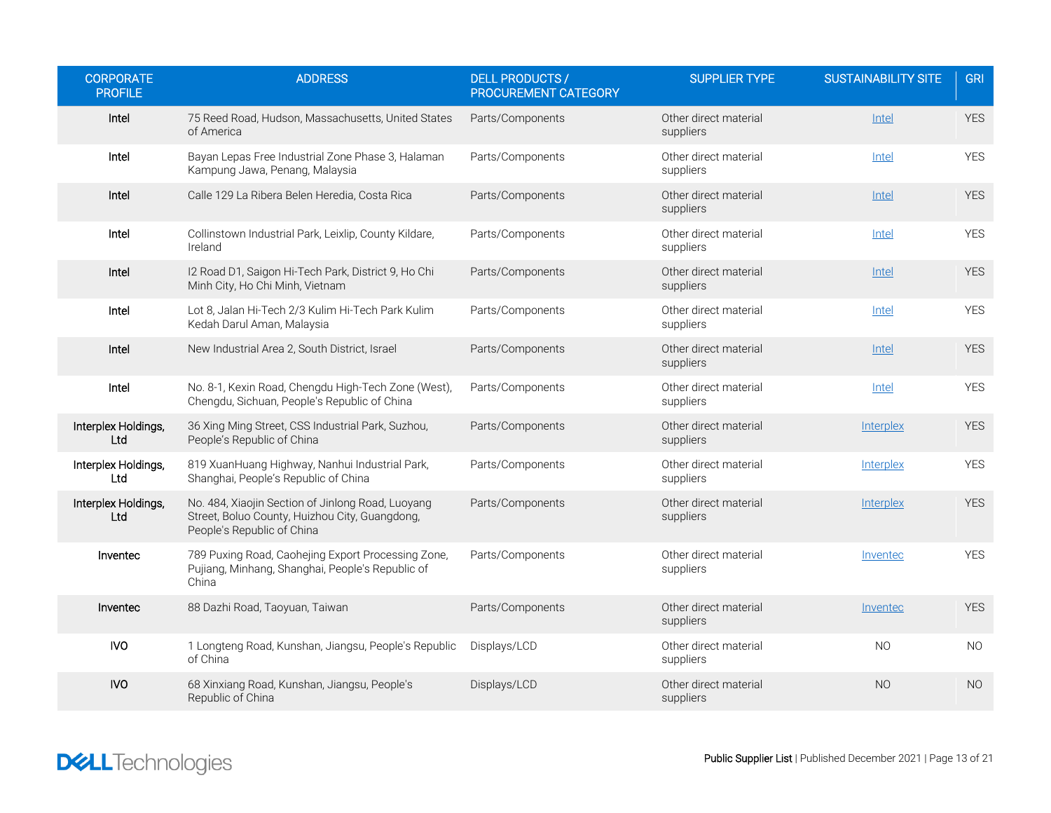| <b>CORPORATE</b><br><b>PROFILE</b> | <b>ADDRESS</b>                                                                                                                    | <b>DELL PRODUCTS /</b><br>PROCUREMENT CATEGORY | <b>SUPPLIER TYPE</b>               | <b>SUSTAINABILITY SITE</b> | <b>GRI</b> |
|------------------------------------|-----------------------------------------------------------------------------------------------------------------------------------|------------------------------------------------|------------------------------------|----------------------------|------------|
| Intel                              | 75 Reed Road, Hudson, Massachusetts, United States<br>of America                                                                  | Parts/Components                               | Other direct material<br>suppliers | Intel                      | <b>YES</b> |
| Intel                              | Bayan Lepas Free Industrial Zone Phase 3, Halaman<br>Kampung Jawa, Penang, Malaysia                                               | Parts/Components                               | Other direct material<br>suppliers | Intel                      | <b>YES</b> |
| Intel                              | Calle 129 La Ribera Belen Heredia, Costa Rica                                                                                     | Parts/Components                               | Other direct material<br>suppliers | Intel                      | <b>YES</b> |
| Intel                              | Collinstown Industrial Park, Leixlip, County Kildare,<br>Ireland                                                                  | Parts/Components                               | Other direct material<br>suppliers | Intel                      | <b>YES</b> |
| Intel                              | I2 Road D1, Saigon Hi-Tech Park, District 9, Ho Chi<br>Minh City, Ho Chi Minh, Vietnam                                            | Parts/Components                               | Other direct material<br>suppliers | Intel                      | <b>YES</b> |
| Intel                              | Lot 8, Jalan Hi-Tech 2/3 Kulim Hi-Tech Park Kulim<br>Kedah Darul Aman, Malaysia                                                   | Parts/Components                               | Other direct material<br>suppliers | Intel                      | <b>YES</b> |
| Intel                              | New Industrial Area 2, South District, Israel                                                                                     | Parts/Components                               | Other direct material<br>suppliers | <b>Intel</b>               | <b>YES</b> |
| Intel                              | No. 8-1, Kexin Road, Chengdu High-Tech Zone (West),<br>Chengdu, Sichuan, People's Republic of China                               | Parts/Components                               | Other direct material<br>suppliers | Intel                      | <b>YES</b> |
| Interplex Holdings,<br>Ltd.        | 36 Xing Ming Street, CSS Industrial Park, Suzhou,<br>People's Republic of China                                                   | Parts/Components                               | Other direct material<br>suppliers | Interplex                  | <b>YES</b> |
| Interplex Holdings,<br>Ltd         | 819 XuanHuang Highway, Nanhui Industrial Park,<br>Shanghai, People's Republic of China                                            | Parts/Components                               | Other direct material<br>suppliers | Interplex                  | <b>YES</b> |
| Interplex Holdings,<br>Ltd         | No. 484, Xiaojin Section of Jinlong Road, Luoyang<br>Street, Boluo County, Huizhou City, Guangdong,<br>People's Republic of China | Parts/Components                               | Other direct material<br>suppliers | Interplex                  | <b>YES</b> |
| Inventec                           | 789 Puxing Road, Caohejing Export Processing Zone,<br>Pujiang, Minhang, Shanghai, People's Republic of<br>China                   | Parts/Components                               | Other direct material<br>suppliers | Inventec                   | <b>YES</b> |
| Inventec                           | 88 Dazhi Road, Taoyuan, Taiwan                                                                                                    | Parts/Components                               | Other direct material<br>suppliers | Invented                   | <b>YES</b> |
| <b>IVO</b>                         | 1 Longteng Road, Kunshan, Jiangsu, People's Republic<br>of China                                                                  | Displays/LCD                                   | Other direct material<br>suppliers | N <sub>O</sub>             | <b>NO</b>  |
| <b>IVO</b>                         | 68 Xinxiang Road, Kunshan, Jiangsu, People's<br>Republic of China                                                                 | Displays/LCD                                   | Other direct material<br>suppliers | N <sub>O</sub>             | <b>NO</b>  |

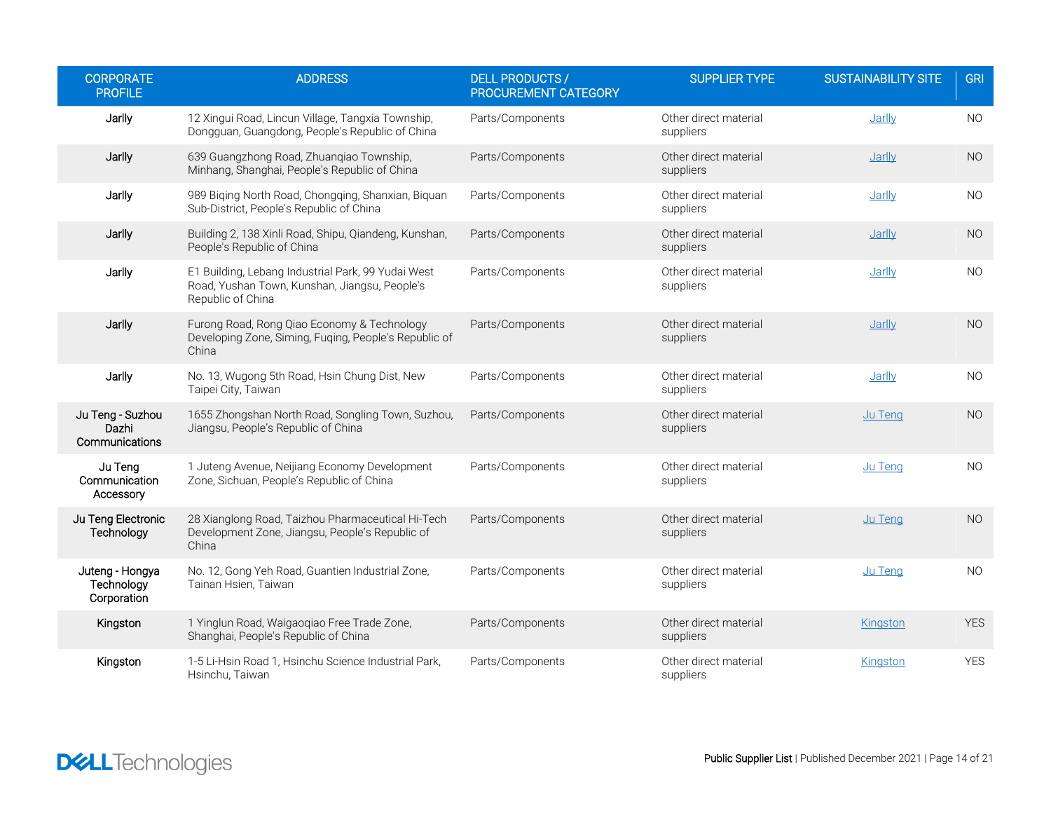| <b>CORPORATE</b><br><b>PROFILE</b>           | <b>ADDRESS</b>                                                                                                           | <b>DELL PRODUCTS /</b><br>PROCUREMENT CATEGORY | <b>SUPPLIER TYPE</b>               | <b>SUSTAINABILITY SITE</b> | <b>GRI</b>     |
|----------------------------------------------|--------------------------------------------------------------------------------------------------------------------------|------------------------------------------------|------------------------------------|----------------------------|----------------|
| Jarlly                                       | 12 Xingui Road, Lincun Village, Tangxia Township,<br>Dongguan, Guangdong, People's Republic of China                     | Parts/Components                               | Other direct material<br>suppliers | Jarlly                     | N <sub>O</sub> |
| Jarlly                                       | 639 Guangzhong Road, Zhuanqiao Township,<br>Minhang, Shanghai, People's Republic of China                                | Parts/Components                               | Other direct material<br>suppliers | Jarlly                     | <b>NO</b>      |
| Jarlly                                       | 989 Biging North Road, Chongqing, Shanxian, Biguan<br>Sub-District, People's Republic of China                           | Parts/Components                               | Other direct material<br>suppliers | Jarlly                     | N <sub>O</sub> |
| Jarlly                                       | Building 2, 138 Xinli Road, Shipu, Qiandeng, Kunshan,<br>People's Republic of China                                      | Parts/Components                               | Other direct material<br>suppliers | Jarlly                     | NO.            |
| Jarlly                                       | E1 Building, Lebang Industrial Park, 99 Yudai West<br>Road, Yushan Town, Kunshan, Jiangsu, People's<br>Republic of China | Parts/Components                               | Other direct material<br>suppliers | Jarlly                     | <b>NO</b>      |
| Jarlly                                       | Furong Road, Rong Qiao Economy & Technology<br>Developing Zone, Siming, Fuqing, People's Republic of<br>China            | Parts/Components                               | Other direct material<br>suppliers | Jarlly                     | N <sub>O</sub> |
| Jarlly                                       | No. 13, Wugong 5th Road, Hsin Chung Dist, New<br>Taipei City, Taiwan                                                     | Parts/Components                               | Other direct material<br>suppliers | Jarlly                     | <b>NO</b>      |
| Ju Teng - Suzhou<br>Dazhi<br>Communications  | 1655 Zhongshan North Road, Songling Town, Suzhou,<br>Jiangsu, People's Republic of China                                 | Parts/Components                               | Other direct material<br>suppliers | Ju Teng                    | <b>NO</b>      |
| Ju Teng<br>Communication<br>Accessory        | 1 Juteng Avenue, Neijiang Economy Development<br>Zone, Sichuan, People's Republic of China                               | Parts/Components                               | Other direct material<br>suppliers | Ju Teng                    | <b>NO</b>      |
| Ju Teng Electronic<br>Technology             | 28 Xianglong Road, Taizhou Pharmaceutical Hi-Tech<br>Development Zone, Jiangsu, People's Republic of<br>China            | Parts/Components                               | Other direct material<br>suppliers | Ju Teng                    | <b>NO</b>      |
| Juteng - Hongya<br>Technology<br>Corporation | No. 12, Gong Yeh Road, Guantien Industrial Zone,<br>Tainan Hsien, Taiwan                                                 | Parts/Components                               | Other direct material<br>suppliers | Ju Teng                    | <b>NO</b>      |
| Kingston                                     | 1 Yinglun Road, Waigaoqiao Free Trade Zone,<br>Shanghai, People's Republic of China                                      | Parts/Components                               | Other direct material<br>suppliers | Kingston                   | <b>YES</b>     |
| Kingston                                     | 1-5 Li-Hsin Road 1, Hsinchu Science Industrial Park,<br>Hsinchu, Taiwan                                                  | Parts/Components                               | Other direct material<br>suppliers | Kingston                   | <b>YES</b>     |

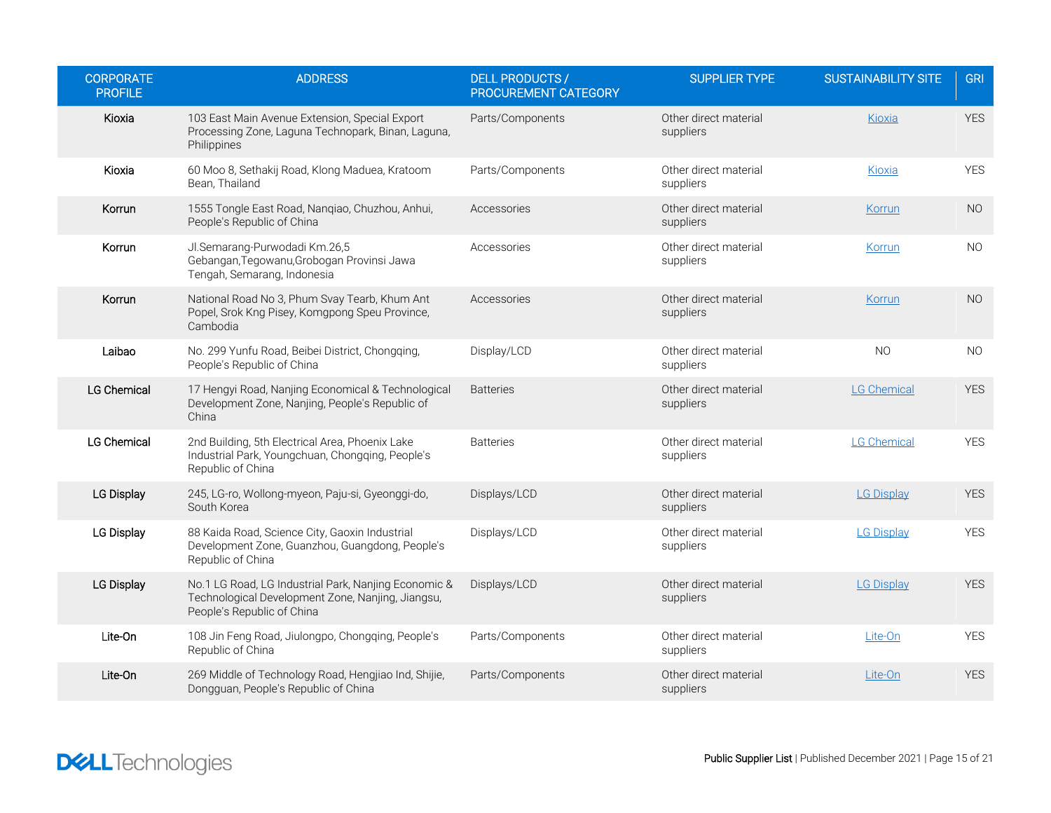| <b>CORPORATE</b><br><b>PROFILE</b> | <b>ADDRESS</b>                                                                                                                          | <b>DELL PRODUCTS /</b><br><b>PROCUREMENT CATEGORY</b> | <b>SUPPLIER TYPE</b>               | <b>SUSTAINABILITY SITE</b> | <b>GRI</b>     |
|------------------------------------|-----------------------------------------------------------------------------------------------------------------------------------------|-------------------------------------------------------|------------------------------------|----------------------------|----------------|
| Kioxia                             | 103 East Main Avenue Extension, Special Export<br>Processing Zone, Laguna Technopark, Binan, Laguna,<br>Philippines                     | Parts/Components                                      | Other direct material<br>suppliers | Kioxia                     | <b>YES</b>     |
| Kioxia                             | 60 Moo 8, Sethakij Road, Klong Maduea, Kratoom<br>Bean, Thailand                                                                        | Parts/Components                                      | Other direct material<br>suppliers | Kioxia                     | <b>YES</b>     |
| Korrun                             | 1555 Tongle East Road, Nangiao, Chuzhou, Anhui,<br>People's Republic of China                                                           | Accessories                                           | Other direct material<br>suppliers | Korrun                     | N <sub>O</sub> |
| Korrun                             | Jl.Semarang-Purwodadi Km.26,5<br>Gebangan, Tegowanu, Grobogan Provinsi Jawa<br>Tengah, Semarang, Indonesia                              | Accessories                                           | Other direct material<br>suppliers | Korrun                     | <b>NO</b>      |
| Korrun                             | National Road No 3, Phum Svay Tearb, Khum Ant<br>Popel, Srok Kng Pisey, Komgpong Speu Province,<br>Cambodia                             | Accessories                                           | Other direct material<br>suppliers | Korrun                     | <b>NO</b>      |
| Laibao                             | No. 299 Yunfu Road, Beibei District, Chongqing,<br>People's Republic of China                                                           | Display/LCD                                           | Other direct material<br>suppliers | <b>NO</b>                  | <b>NO</b>      |
| <b>LG Chemical</b>                 | 17 Hengyi Road, Nanjing Economical & Technological<br>Development Zone, Nanjing, People's Republic of<br>China                          | <b>Batteries</b>                                      | Other direct material<br>suppliers | LG Chemical                | <b>YES</b>     |
| <b>LG Chemical</b>                 | 2nd Building, 5th Electrical Area, Phoenix Lake<br>Industrial Park, Youngchuan, Chongqing, People's<br>Republic of China                | <b>Batteries</b>                                      | Other direct material<br>suppliers | <b>LG Chemical</b>         | <b>YES</b>     |
| <b>LG Display</b>                  | 245, LG-ro, Wollong-myeon, Paju-si, Gyeonggi-do,<br>South Korea                                                                         | Displays/LCD                                          | Other direct material<br>suppliers | <b>LG Display</b>          | <b>YES</b>     |
| LG Display                         | 88 Kaida Road, Science City, Gaoxin Industrial<br>Development Zone, Guanzhou, Guangdong, People's<br>Republic of China                  | Displays/LCD                                          | Other direct material<br>suppliers | <b>LG Display</b>          | <b>YES</b>     |
| LG Display                         | No.1 LG Road, LG Industrial Park, Nanjing Economic &<br>Technological Development Zone, Nanjing, Jiangsu,<br>People's Republic of China | Displays/LCD                                          | Other direct material<br>suppliers | <b>LG Display</b>          | <b>YES</b>     |
| Lite-On                            | 108 Jin Feng Road, Jiulongpo, Chongqing, People's<br>Republic of China                                                                  | Parts/Components                                      | Other direct material<br>suppliers | Lite-On                    | <b>YES</b>     |
| Lite-On                            | 269 Middle of Technology Road, Hengjiao Ind, Shijie,<br>Dongguan, People's Republic of China                                            | Parts/Components                                      | Other direct material<br>suppliers | Lite-On                    | <b>YES</b>     |

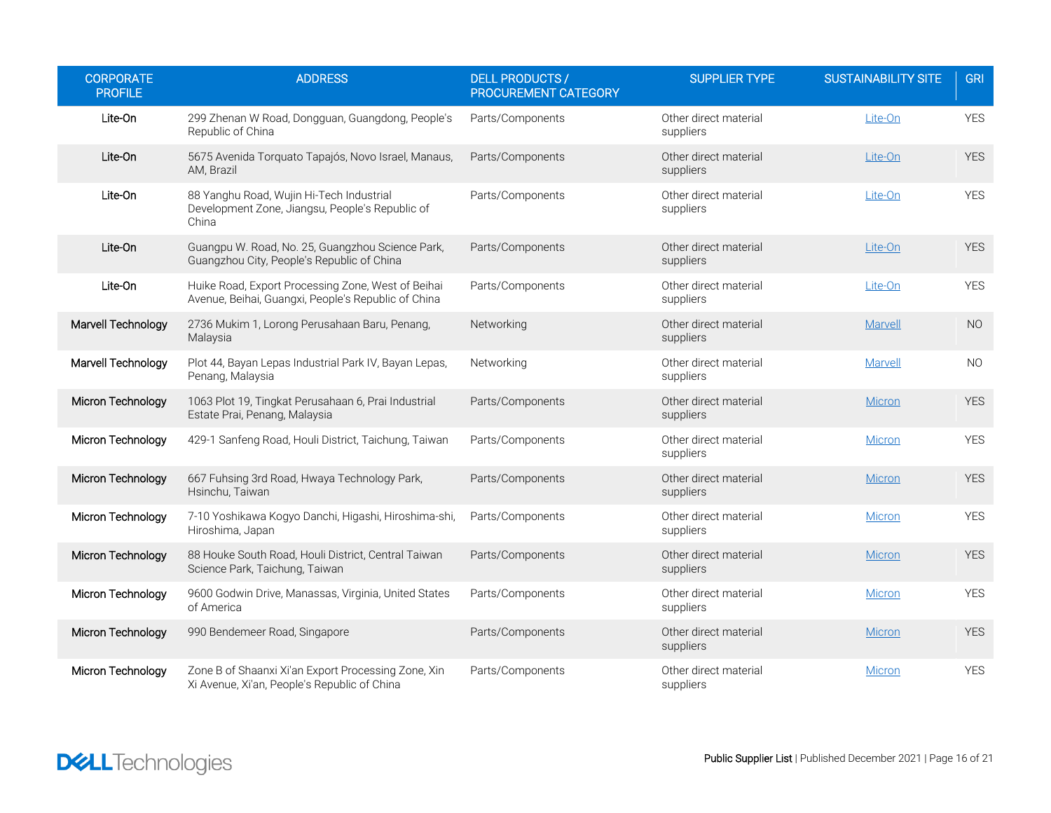| <b>CORPORATE</b><br><b>PROFILE</b> | <b>ADDRESS</b>                                                                                            | <b>DELL PRODUCTS /</b><br>PROCUREMENT CATEGORY | <b>SUPPLIER TYPE</b>               | <b>SUSTAINABILITY SITE</b> | <b>GRI</b> |
|------------------------------------|-----------------------------------------------------------------------------------------------------------|------------------------------------------------|------------------------------------|----------------------------|------------|
| Lite-On                            | 299 Zhenan W Road, Dongguan, Guangdong, People's<br>Republic of China                                     | Parts/Components                               | Other direct material<br>suppliers | Lite-On                    | <b>YES</b> |
| Lite-On                            | 5675 Avenida Torquato Tapajós, Novo Israel, Manaus,<br>AM, Brazil                                         | Parts/Components                               | Other direct material<br>suppliers | Lite-On                    | <b>YES</b> |
| Lite-On                            | 88 Yanghu Road, Wujin Hi-Tech Industrial<br>Development Zone, Jiangsu, People's Republic of<br>China      | Parts/Components                               | Other direct material<br>suppliers | Lite-On                    | <b>YES</b> |
| Lite-On                            | Guangpu W. Road, No. 25, Guangzhou Science Park,<br>Guangzhou City, People's Republic of China            | Parts/Components                               | Other direct material<br>suppliers | Lite-On                    | <b>YES</b> |
| Lite-On                            | Huike Road, Export Processing Zone, West of Beihai<br>Avenue, Beihai, Guangxi, People's Republic of China | Parts/Components                               | Other direct material<br>suppliers | Lite-On                    | <b>YES</b> |
| Marvell Technology                 | 2736 Mukim 1, Lorong Perusahaan Baru, Penang,<br>Malaysia                                                 | Networking                                     | Other direct material<br>suppliers | Marvell                    | NO         |
| Marvell Technology                 | Plot 44, Bayan Lepas Industrial Park IV, Bayan Lepas,<br>Penang, Malaysia                                 | Networking                                     | Other direct material<br>suppliers | Marvell                    | <b>NO</b>  |
| Micron Technology                  | 1063 Plot 19, Tingkat Perusahaan 6, Prai Industrial<br>Estate Prai, Penang, Malaysia                      | Parts/Components                               | Other direct material<br>suppliers | Micron                     | <b>YES</b> |
| Micron Technology                  | 429-1 Sanfeng Road, Houli District, Taichung, Taiwan                                                      | Parts/Components                               | Other direct material<br>suppliers | Micron                     | <b>YES</b> |
| Micron Technology                  | 667 Fuhsing 3rd Road, Hwaya Technology Park,<br>Hsinchu, Taiwan                                           | Parts/Components                               | Other direct material<br>suppliers | Micron                     | <b>YES</b> |
| Micron Technology                  | 7-10 Yoshikawa Kogyo Danchi, Higashi, Hiroshima-shi,<br>Hiroshima, Japan                                  | Parts/Components                               | Other direct material<br>suppliers | Micron                     | <b>YES</b> |
| Micron Technology                  | 88 Houke South Road, Houli District, Central Taiwan<br>Science Park, Taichung, Taiwan                     | Parts/Components                               | Other direct material<br>suppliers | <b>Micron</b>              | <b>YES</b> |
| Micron Technology                  | 9600 Godwin Drive, Manassas, Virginia, United States<br>of America                                        | Parts/Components                               | Other direct material<br>suppliers | Micron                     | <b>YES</b> |
| Micron Technology                  | 990 Bendemeer Road, Singapore                                                                             | Parts/Components                               | Other direct material<br>suppliers | Micron                     | <b>YES</b> |
| Micron Technology                  | Zone B of Shaanxi Xi'an Export Processing Zone, Xin<br>Xi Avenue, Xi'an, People's Republic of China       | Parts/Components                               | Other direct material<br>suppliers | Micron                     | <b>YES</b> |

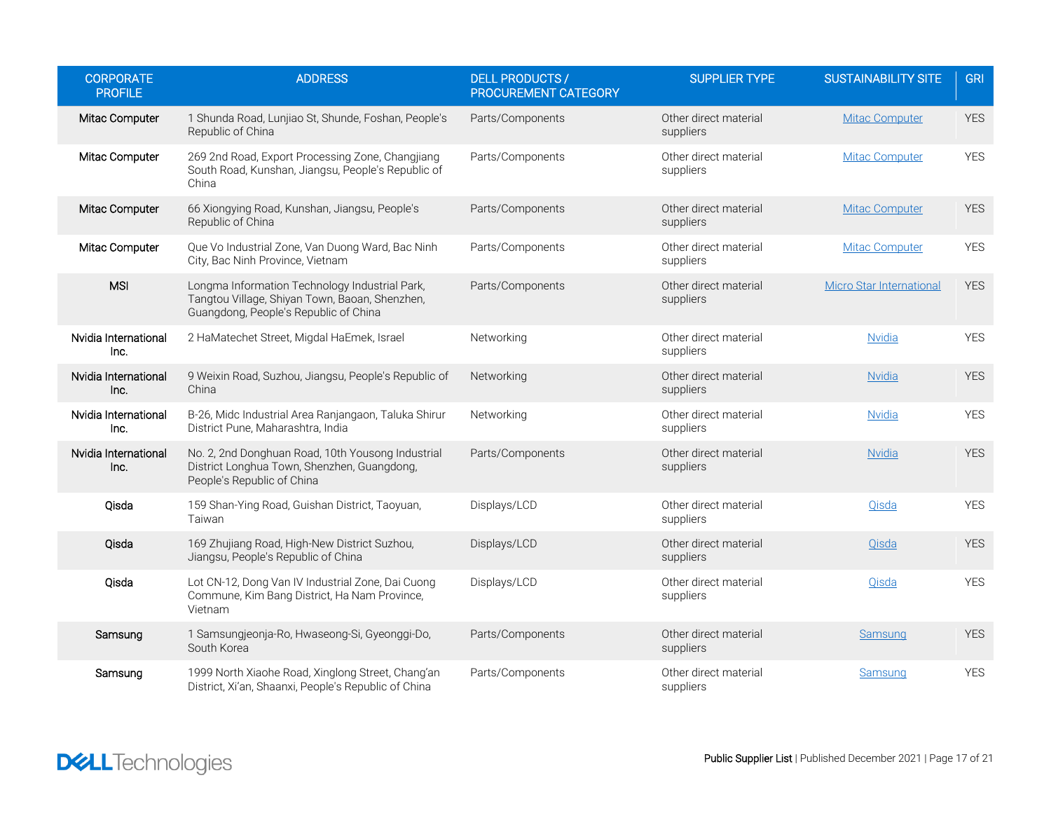| <b>CORPORATE</b><br><b>PROFILE</b> | <b>ADDRESS</b>                                                                                                                            | <b>DELL PRODUCTS /</b><br>PROCUREMENT CATEGORY | <b>SUPPLIER TYPE</b>               | <b>SUSTAINABILITY SITE</b>      | <b>GRI</b> |
|------------------------------------|-------------------------------------------------------------------------------------------------------------------------------------------|------------------------------------------------|------------------------------------|---------------------------------|------------|
| Mitac Computer                     | 1 Shunda Road, Lunjiao St, Shunde, Foshan, People's<br>Republic of China                                                                  | Parts/Components                               | Other direct material<br>suppliers | <b>Mitac Computer</b>           | <b>YES</b> |
| Mitac Computer                     | 269 2nd Road, Export Processing Zone, Changjiang<br>South Road, Kunshan, Jiangsu, People's Republic of<br>China                           | Parts/Components                               | Other direct material<br>suppliers | <b>Mitac Computer</b>           | <b>YES</b> |
| Mitac Computer                     | 66 Xiongying Road, Kunshan, Jiangsu, People's<br>Republic of China                                                                        | Parts/Components                               | Other direct material<br>suppliers | <b>Mitac Computer</b>           | <b>YES</b> |
| Mitac Computer                     | Que Vo Industrial Zone, Van Duong Ward, Bac Ninh<br>City, Bac Ninh Province, Vietnam                                                      | Parts/Components                               | Other direct material<br>suppliers | <b>Mitac Computer</b>           | <b>YES</b> |
| <b>MSI</b>                         | Longma Information Technology Industrial Park,<br>Tangtou Village, Shiyan Town, Baoan, Shenzhen,<br>Guangdong, People's Republic of China | Parts/Components                               | Other direct material<br>suppliers | <b>Micro Star International</b> | <b>YES</b> |
| Nvidia International<br>Inc.       | 2 HaMatechet Street, Migdal HaEmek, Israel                                                                                                | Networking                                     | Other direct material<br>suppliers | <b>Nvidia</b>                   | <b>YES</b> |
| Nvidia International<br>Inc.       | 9 Weixin Road, Suzhou, Jiangsu, People's Republic of<br>China                                                                             | Networking                                     | Other direct material<br>suppliers | <b>Nvidia</b>                   | <b>YES</b> |
| Nvidia International<br>Inc.       | B-26, Midc Industrial Area Ranjangaon, Taluka Shirur<br>District Pune, Maharashtra, India                                                 | Networking                                     | Other direct material<br>suppliers | <b>Nvidia</b>                   | <b>YES</b> |
| Nvidia International<br>Inc.       | No. 2, 2nd Donghuan Road, 10th Yousong Industrial<br>District Longhua Town, Shenzhen, Guangdong,<br>People's Republic of China            | Parts/Components                               | Other direct material<br>suppliers | <b>Nvidia</b>                   | <b>YES</b> |
| Qisda                              | 159 Shan-Ying Road, Guishan District, Taoyuan,<br>Taiwan                                                                                  | Displays/LCD                                   | Other direct material<br>suppliers | Qisda                           | <b>YES</b> |
| Qisda                              | 169 Zhujiang Road, High-New District Suzhou,<br>Jiangsu, People's Republic of China                                                       | Displays/LCD                                   | Other direct material<br>suppliers | Qisda                           | <b>YES</b> |
| Qisda                              | Lot CN-12, Dong Van IV Industrial Zone, Dai Cuong<br>Commune, Kim Bang District, Ha Nam Province,<br>Vietnam                              | Displays/LCD                                   | Other direct material<br>suppliers | Qisda                           | <b>YES</b> |
| Samsung                            | 1 Samsungjeonja-Ro, Hwaseong-Si, Gyeonggi-Do,<br>South Korea                                                                              | Parts/Components                               | Other direct material<br>suppliers | Samsung                         | <b>YES</b> |
| Samsung                            | 1999 North Xiaohe Road, Xinglong Street, Chang'an<br>District, Xi'an, Shaanxi, People's Republic of China                                 | Parts/Components                               | Other direct material<br>suppliers | Samsung                         | <b>YES</b> |

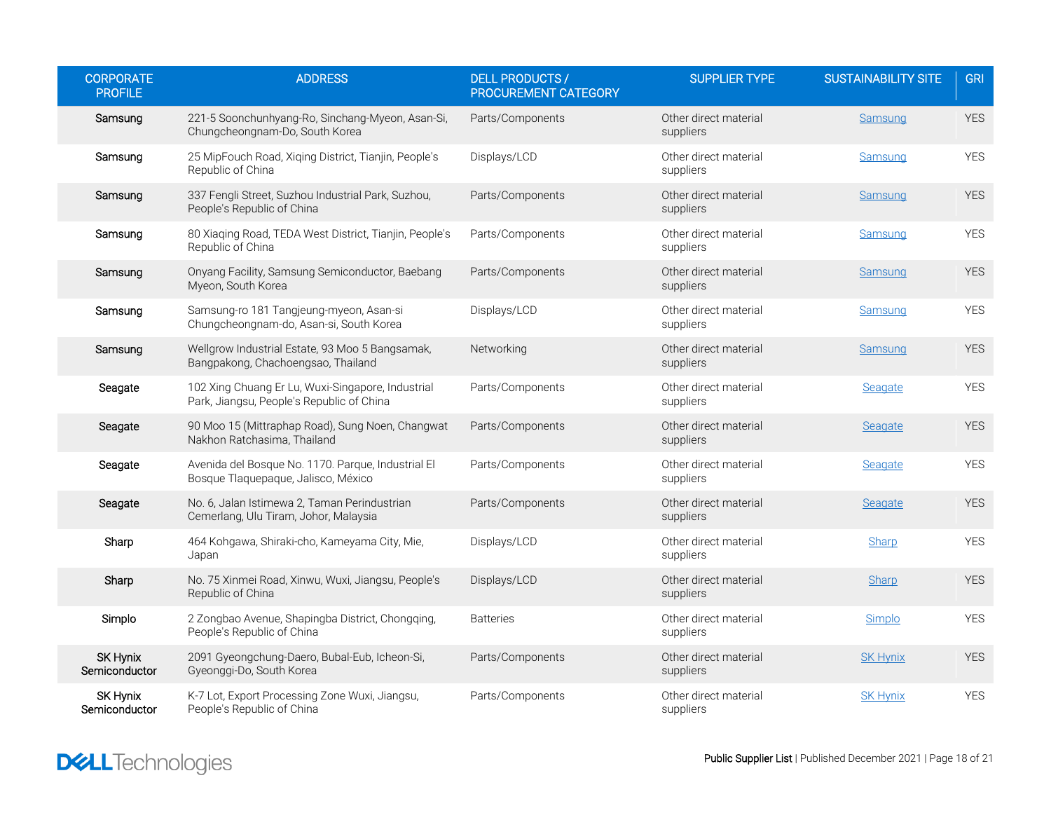| <b>CORPORATE</b><br><b>PROFILE</b> | <b>ADDRESS</b>                                                                                 | <b>DELL PRODUCTS /</b><br>PROCUREMENT CATEGORY | <b>SUPPLIER TYPE</b>               | <b>SUSTAINABILITY SITE</b> | <b>GRI</b> |
|------------------------------------|------------------------------------------------------------------------------------------------|------------------------------------------------|------------------------------------|----------------------------|------------|
| Samsung                            | 221-5 Soonchunhyang-Ro, Sinchang-Myeon, Asan-Si,<br>Chungcheongnam-Do, South Korea             | Parts/Components                               | Other direct material<br>suppliers | Samsung                    | <b>YES</b> |
| Samsung                            | 25 MipFouch Road, Xiqing District, Tianjin, People's<br>Republic of China                      | Displays/LCD                                   | Other direct material<br>suppliers | Samsung                    | <b>YES</b> |
| Samsung                            | 337 Fengli Street, Suzhou Industrial Park, Suzhou,<br>People's Republic of China               | Parts/Components                               | Other direct material<br>suppliers | Samsung                    | <b>YES</b> |
| Samsung                            | 80 Xiaqing Road, TEDA West District, Tianjin, People's<br>Republic of China                    | Parts/Components                               | Other direct material<br>suppliers | Samsung                    | <b>YES</b> |
| Samsung                            | Onyang Facility, Samsung Semiconductor, Baebang<br>Myeon, South Korea                          | Parts/Components                               | Other direct material<br>suppliers | Samsung                    | <b>YES</b> |
| Samsung                            | Samsung-ro 181 Tangjeung-myeon, Asan-si<br>Chungcheongnam-do, Asan-si, South Korea             | Displays/LCD                                   | Other direct material<br>suppliers | Samsung                    | <b>YES</b> |
| Samsung                            | Wellgrow Industrial Estate, 93 Moo 5 Bangsamak,<br>Bangpakong, Chachoengsao, Thailand          | Networking                                     | Other direct material<br>suppliers | Samsung                    | <b>YES</b> |
| Seagate                            | 102 Xing Chuang Er Lu, Wuxi-Singapore, Industrial<br>Park, Jiangsu, People's Republic of China | Parts/Components                               | Other direct material<br>suppliers | Seagate                    | <b>YES</b> |
| Seagate                            | 90 Moo 15 (Mittraphap Road), Sung Noen, Changwat<br>Nakhon Ratchasima, Thailand                | Parts/Components                               | Other direct material<br>suppliers | Seagate                    | <b>YES</b> |
| Seagate                            | Avenida del Bosque No. 1170. Parque, Industrial El<br>Bosque Tlaquepaque, Jalisco, México      | Parts/Components                               | Other direct material<br>suppliers | Seagate                    | <b>YES</b> |
| Seagate                            | No. 6, Jalan Istimewa 2, Taman Perindustrian<br>Cemerlang, Ulu Tiram, Johor, Malaysia          | Parts/Components                               | Other direct material<br>suppliers | Seagate                    | <b>YES</b> |
| Sharp                              | 464 Kohgawa, Shiraki-cho, Kameyama City, Mie,<br>Japan                                         | Displays/LCD                                   | Other direct material<br>suppliers | Sharp                      | <b>YES</b> |
| Sharp                              | No. 75 Xinmei Road, Xinwu, Wuxi, Jiangsu, People's<br>Republic of China                        | Displays/LCD                                   | Other direct material<br>suppliers | Sharp                      | <b>YES</b> |
| Simplo                             | 2 Zongbao Avenue, Shapingba District, Chongqing,<br>People's Republic of China                 | <b>Batteries</b>                               | Other direct material<br>suppliers | Simplo                     | <b>YES</b> |
| <b>SK Hynix</b><br>Semiconductor   | 2091 Gyeongchung-Daero, Bubal-Eub, Icheon-Si,<br>Gyeonggi-Do, South Korea                      | Parts/Components                               | Other direct material<br>suppliers | <b>SK Hynix</b>            | <b>YES</b> |
| SK Hynix<br>Semiconductor          | K-7 Lot, Export Processing Zone Wuxi, Jiangsu,<br>People's Republic of China                   | Parts/Components                               | Other direct material<br>suppliers | <b>SK Hynix</b>            | <b>YES</b> |

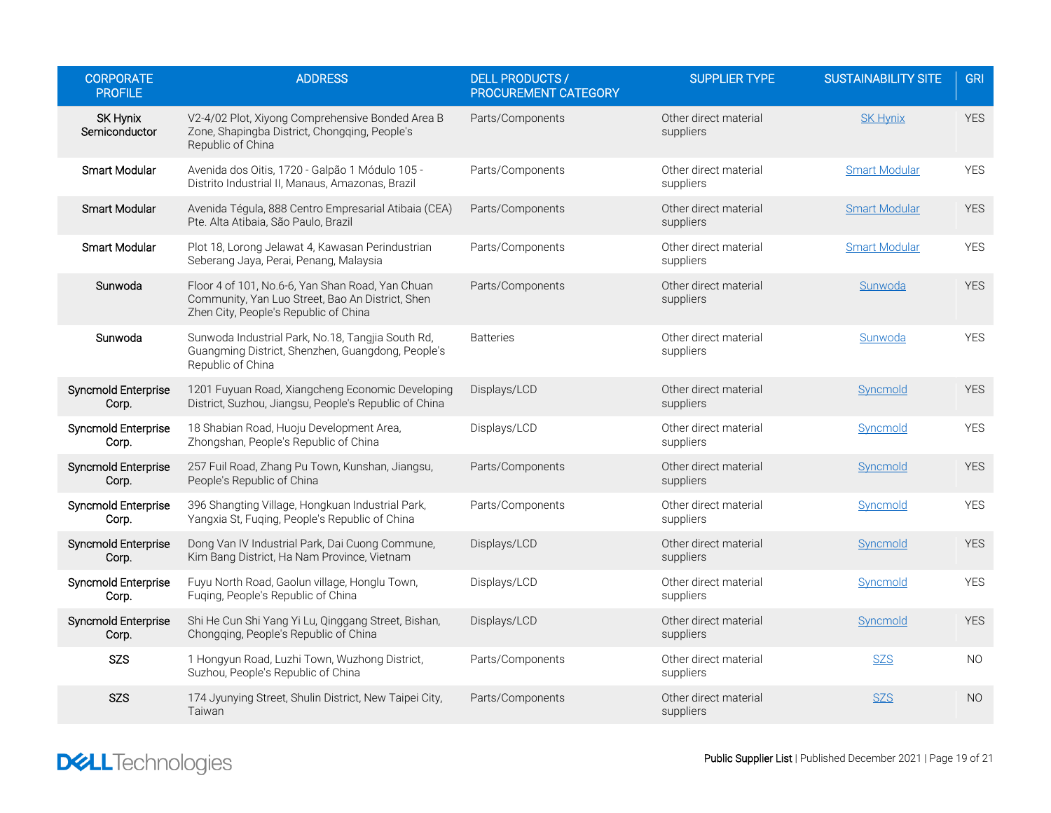| <b>CORPORATE</b><br><b>PROFILE</b> | <b>ADDRESS</b>                                                                                                                                | <b>DELL PRODUCTS /</b><br>PROCUREMENT CATEGORY | <b>SUPPLIER TYPE</b>               | <b>SUSTAINABILITY SITE</b> | <b>GRI</b>     |
|------------------------------------|-----------------------------------------------------------------------------------------------------------------------------------------------|------------------------------------------------|------------------------------------|----------------------------|----------------|
| <b>SK Hynix</b><br>Semiconductor   | V2-4/02 Plot, Xiyong Comprehensive Bonded Area B<br>Zone, Shapingba District, Chongqing, People's<br>Republic of China                        | Parts/Components                               | Other direct material<br>suppliers | <b>SK Hynix</b>            | <b>YES</b>     |
| Smart Modular                      | Avenida dos Oitis, 1720 - Galpão 1 Módulo 105 -<br>Distrito Industrial II, Manaus, Amazonas, Brazil                                           | Parts/Components                               | Other direct material<br>suppliers | <b>Smart Modular</b>       | <b>YES</b>     |
| Smart Modular                      | Avenida Tégula, 888 Centro Empresarial Atibaia (CEA)<br>Pte. Alta Atibaia, São Paulo, Brazil                                                  | Parts/Components                               | Other direct material<br>suppliers | <b>Smart Modular</b>       | <b>YES</b>     |
| Smart Modular                      | Plot 18, Lorong Jelawat 4, Kawasan Perindustrian<br>Seberang Jaya, Perai, Penang, Malaysia                                                    | Parts/Components                               | Other direct material<br>suppliers | <b>Smart Modular</b>       | <b>YES</b>     |
| Sunwoda                            | Floor 4 of 101, No.6-6, Yan Shan Road, Yan Chuan<br>Community, Yan Luo Street, Bao An District, Shen<br>Zhen City, People's Republic of China | Parts/Components                               | Other direct material<br>suppliers | Sunwoda                    | <b>YES</b>     |
| Sunwoda                            | Sunwoda Industrial Park, No.18, Tangjia South Rd,<br>Guangming District, Shenzhen, Guangdong, People's<br>Republic of China                   | <b>Batteries</b>                               | Other direct material<br>suppliers | Sunwoda                    | <b>YES</b>     |
| Syncmold Enterprise<br>Corp.       | 1201 Fuyuan Road, Xiangcheng Economic Developing<br>District, Suzhou, Jiangsu, People's Republic of China                                     | Displays/LCD                                   | Other direct material<br>suppliers | Syncmold                   | <b>YES</b>     |
| Syncmold Enterprise<br>Corp.       | 18 Shabian Road, Huoju Development Area,<br>Zhongshan, People's Republic of China                                                             | Displays/LCD                                   | Other direct material<br>suppliers | Syncmold                   | <b>YES</b>     |
| Syncmold Enterprise<br>Corp.       | 257 Fuil Road, Zhang Pu Town, Kunshan, Jiangsu,<br>People's Republic of China                                                                 | Parts/Components                               | Other direct material<br>suppliers | Syncmold                   | <b>YES</b>     |
| Syncmold Enterprise<br>Corp.       | 396 Shangting Village, Hongkuan Industrial Park,<br>Yangxia St, Fuqing, People's Republic of China                                            | Parts/Components                               | Other direct material<br>suppliers | Syncmold                   | <b>YES</b>     |
| Syncmold Enterprise<br>Corp.       | Dong Van IV Industrial Park, Dai Cuong Commune,<br>Kim Bang District, Ha Nam Province, Vietnam                                                | Displays/LCD                                   | Other direct material<br>suppliers | Syncmold                   | <b>YES</b>     |
| Syncmold Enterprise<br>Corp.       | Fuyu North Road, Gaolun village, Honglu Town,<br>Fuqing, People's Republic of China                                                           | Displays/LCD                                   | Other direct material<br>suppliers | <b>Syncmold</b>            | <b>YES</b>     |
| Syncmold Enterprise<br>Corp.       | Shi He Cun Shi Yang Yi Lu, Qinggang Street, Bishan,<br>Chongqing, People's Republic of China                                                  | Displays/LCD                                   | Other direct material<br>suppliers | Syncmold                   | <b>YES</b>     |
| SZS                                | 1 Hongyun Road, Luzhi Town, Wuzhong District,<br>Suzhou, People's Republic of China                                                           | Parts/Components                               | Other direct material<br>suppliers | <b>SZS</b>                 | <b>NO</b>      |
| SZS                                | 174 Jyunying Street, Shulin District, New Taipei City,<br>Taiwan                                                                              | Parts/Components                               | Other direct material<br>suppliers | <b>SZS</b>                 | N <sub>O</sub> |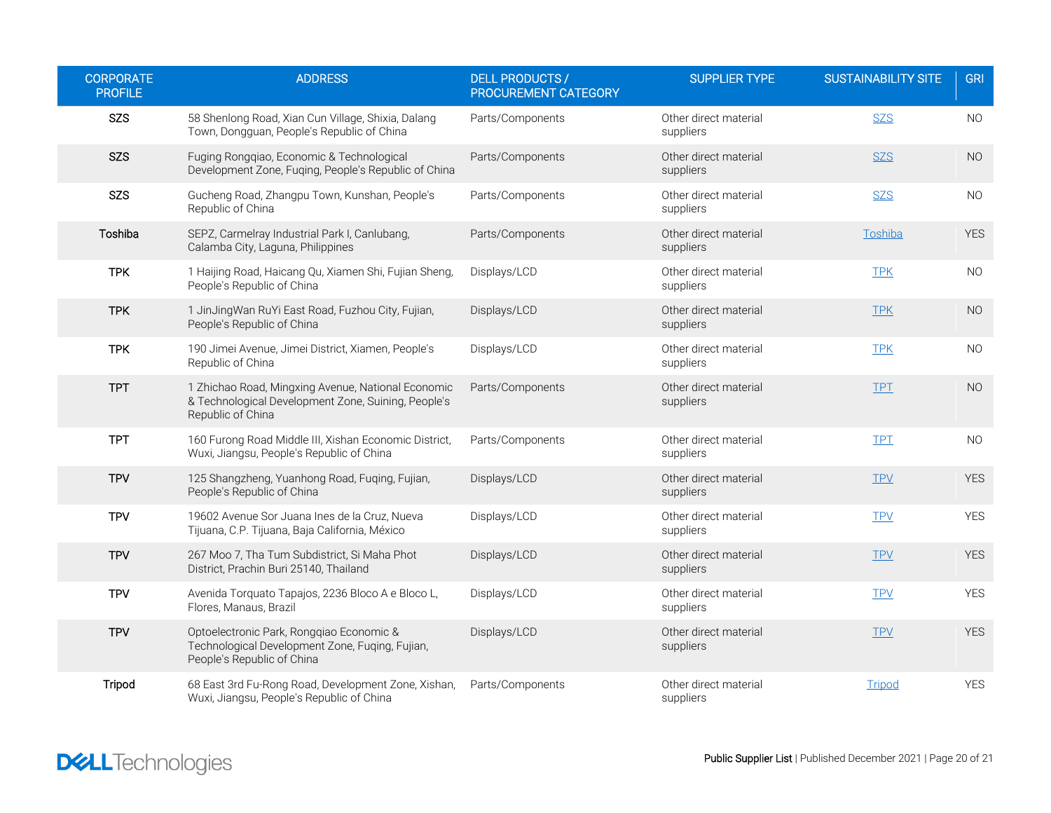| <b>CORPORATE</b><br><b>PROFILE</b> | <b>ADDRESS</b>                                                                                                                 | <b>DELL PRODUCTS /</b><br>PROCUREMENT CATEGORY | <b>SUPPLIER TYPE</b>               | <b>SUSTAINABILITY SITE</b> | <b>GRI</b>     |
|------------------------------------|--------------------------------------------------------------------------------------------------------------------------------|------------------------------------------------|------------------------------------|----------------------------|----------------|
| <b>SZS</b>                         | 58 Shenlong Road, Xian Cun Village, Shixia, Dalang<br>Town, Dongguan, People's Republic of China                               | Parts/Components                               | Other direct material<br>suppliers | <b>SZS</b>                 | <b>NO</b>      |
| <b>SZS</b>                         | Fuging Rongqiao, Economic & Technological<br>Development Zone, Fuqing, People's Republic of China                              | Parts/Components                               | Other direct material<br>suppliers | <b>SZS</b>                 | <b>NO</b>      |
| <b>SZS</b>                         | Gucheng Road, Zhangpu Town, Kunshan, People's<br>Republic of China                                                             | Parts/Components                               | Other direct material<br>suppliers | <b>SZS</b>                 | NO.            |
| Toshiba                            | SEPZ, Carmelray Industrial Park I, Canlubang,<br>Calamba City, Laguna, Philippines                                             | Parts/Components                               | Other direct material<br>suppliers | Toshiba                    | <b>YES</b>     |
| <b>TPK</b>                         | 1 Haijing Road, Haicang Qu, Xiamen Shi, Fujian Sheng,<br>People's Republic of China                                            | Displays/LCD                                   | Other direct material<br>suppliers | <b>TPK</b>                 | NO.            |
| <b>TPK</b>                         | 1 JinJingWan RuYi East Road, Fuzhou City, Fujian,<br>People's Republic of China                                                | Displays/LCD                                   | Other direct material<br>suppliers | <b>TPK</b>                 | N <sub>O</sub> |
| <b>TPK</b>                         | 190 Jimei Avenue, Jimei District, Xiamen, People's<br>Republic of China                                                        | Displays/LCD                                   | Other direct material<br>suppliers | <b>TPK</b>                 | NO.            |
| <b>TPT</b>                         | 1 Zhichao Road, Mingxing Avenue, National Economic<br>& Technological Development Zone, Suining, People's<br>Republic of China | Parts/Components                               | Other direct material<br>suppliers | <b>TPT</b>                 | <b>NO</b>      |
| <b>TPT</b>                         | 160 Furong Road Middle III, Xishan Economic District,<br>Wuxi, Jiangsu, People's Republic of China                             | Parts/Components                               | Other direct material<br>suppliers | <b>TPT</b>                 | NO.            |
| <b>TPV</b>                         | 125 Shangzheng, Yuanhong Road, Fuqing, Fujian,<br>People's Republic of China                                                   | Displays/LCD                                   | Other direct material<br>suppliers | <b>TPV</b>                 | <b>YES</b>     |
| <b>TPV</b>                         | 19602 Avenue Sor Juana Ines de la Cruz, Nueva<br>Tijuana, C.P. Tijuana, Baja California, México                                | Displays/LCD                                   | Other direct material<br>suppliers | <b>TPV</b>                 | <b>YES</b>     |
| <b>TPV</b>                         | 267 Moo 7, Tha Tum Subdistrict, Si Maha Phot<br>District, Prachin Buri 25140, Thailand                                         | Displays/LCD                                   | Other direct material<br>suppliers | <b>TPV</b>                 | <b>YES</b>     |
| <b>TPV</b>                         | Avenida Torquato Tapajos, 2236 Bloco A e Bloco L,<br>Flores, Manaus, Brazil                                                    | Displays/LCD                                   | Other direct material<br>suppliers | <b>TPV</b>                 | <b>YES</b>     |
| <b>TPV</b>                         | Optoelectronic Park, Rongqiao Economic &<br>Technological Development Zone, Fuqing, Fujian,<br>People's Republic of China      | Displays/LCD                                   | Other direct material<br>suppliers | <b>TPV</b>                 | <b>YES</b>     |
| Tripod                             | 68 East 3rd Fu-Rong Road, Development Zone, Xishan,<br>Wuxi, Jiangsu, People's Republic of China                               | Parts/Components                               | Other direct material<br>suppliers | Tripod                     | <b>YES</b>     |